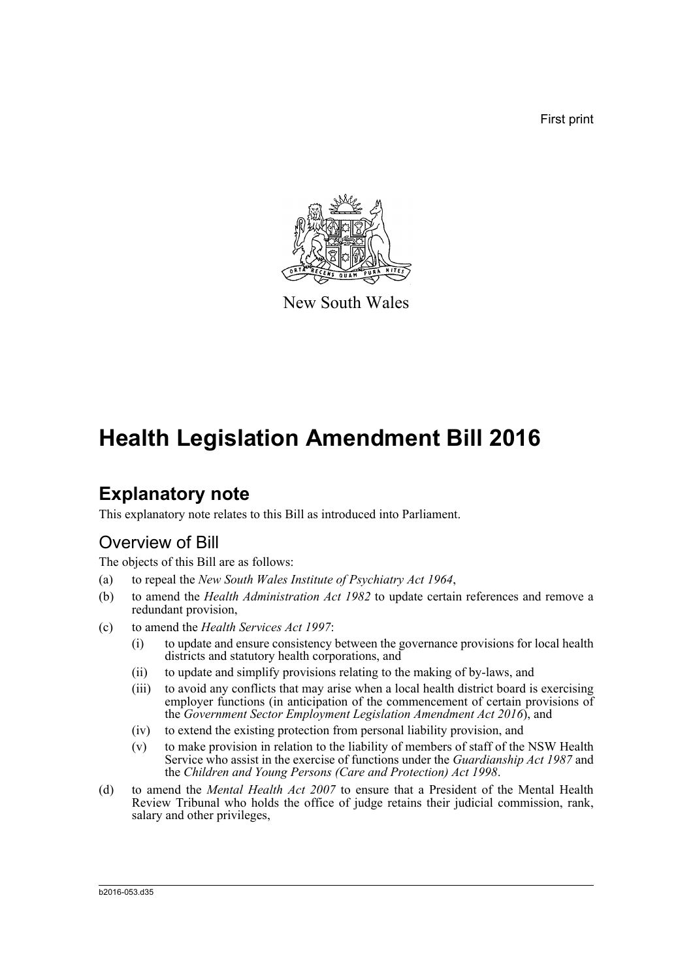First print



New South Wales

# **Health Legislation Amendment Bill 2016**

# **Explanatory note**

This explanatory note relates to this Bill as introduced into Parliament.

## Overview of Bill

The objects of this Bill are as follows:

- (a) to repeal the *New South Wales Institute of Psychiatry Act 1964*,
- (b) to amend the *Health Administration Act 1982* to update certain references and remove a redundant provision,
- (c) to amend the *Health Services Act 1997*:
	- (i) to update and ensure consistency between the governance provisions for local health districts and statutory health corporations, and
	- (ii) to update and simplify provisions relating to the making of by-laws, and
	- (iii) to avoid any conflicts that may arise when a local health district board is exercising employer functions (in anticipation of the commencement of certain provisions of the *Government Sector Employment Legislation Amendment Act 2016*), and
	- (iv) to extend the existing protection from personal liability provision, and
	- (v) to make provision in relation to the liability of members of staff of the NSW Health Service who assist in the exercise of functions under the *Guardianship Act 1987* and the *Children and Young Persons (Care and Protection) Act 1998*.
- (d) to amend the *Mental Health Act 2007* to ensure that a President of the Mental Health Review Tribunal who holds the office of judge retains their judicial commission, rank, salary and other privileges,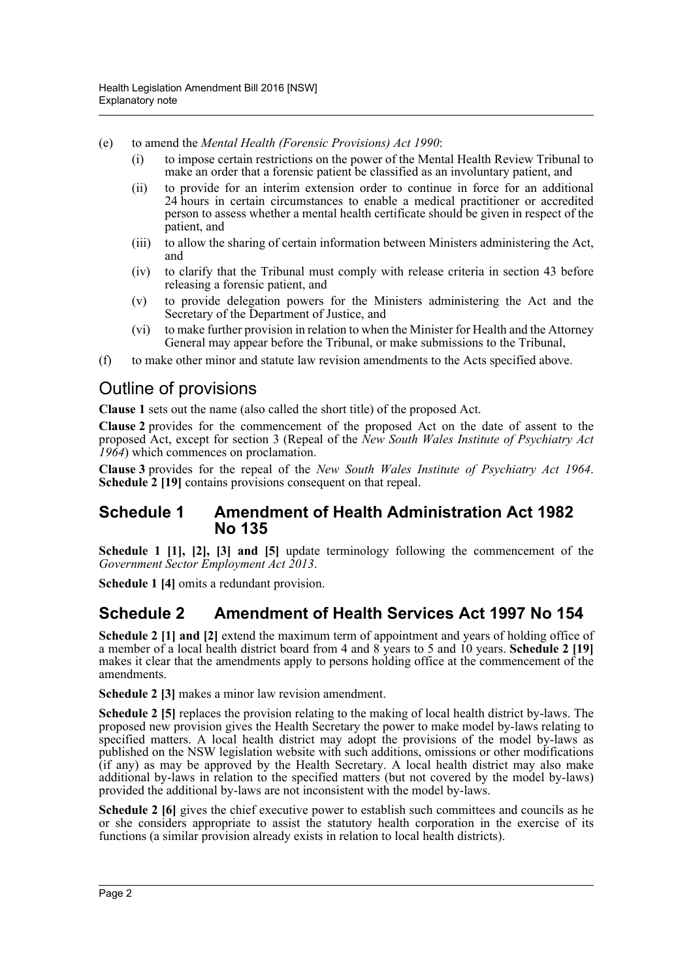- (e) to amend the *Mental Health (Forensic Provisions) Act 1990*:
	- (i) to impose certain restrictions on the power of the Mental Health Review Tribunal to make an order that a forensic patient be classified as an involuntary patient, and
	- (ii) to provide for an interim extension order to continue in force for an additional 24 hours in certain circumstances to enable a medical practitioner or accredited person to assess whether a mental health certificate should be given in respect of the patient, and
	- (iii) to allow the sharing of certain information between Ministers administering the Act, and
	- (iv) to clarify that the Tribunal must comply with release criteria in section 43 before releasing a forensic patient, and
	- (v) to provide delegation powers for the Ministers administering the Act and the Secretary of the Department of Justice, and
	- (vi) to make further provision in relation to when the Minister for Health and the Attorney General may appear before the Tribunal, or make submissions to the Tribunal,
- (f) to make other minor and statute law revision amendments to the Acts specified above.

## Outline of provisions

**Clause 1** sets out the name (also called the short title) of the proposed Act.

**Clause 2** provides for the commencement of the proposed Act on the date of assent to the proposed Act, except for section 3 (Repeal of the *New South Wales Institute of Psychiatry Act 1964*) which commences on proclamation.

**Clause 3** provides for the repeal of the *New South Wales Institute of Psychiatry Act 1964*. **Schedule 2 [19]** contains provisions consequent on that repeal.

### **Schedule 1 Amendment of Health Administration Act 1982 No 135**

**Schedule 1 [1], [2], [3] and [5]** update terminology following the commencement of the *Government Sector Employment Act 2013*.

**Schedule 1 [4]** omits a redundant provision.

## **Schedule 2 Amendment of Health Services Act 1997 No 154**

**Schedule 2** [1] and [2] extend the maximum term of appointment and years of holding office of a member of a local health district board from 4 and 8 years to 5 and 10 years. **Schedule 2 [19]** makes it clear that the amendments apply to persons holding office at the commencement of the amendments.

**Schedule 2 [3]** makes a minor law revision amendment.

**Schedule 2 [5]** replaces the provision relating to the making of local health district by-laws. The proposed new provision gives the Health Secretary the power to make model by-laws relating to specified matters. A local health district may adopt the provisions of the model by-laws as published on the NSW legislation website with such additions, omissions or other modifications (if any) as may be approved by the Health Secretary. A local health district may also make additional by-laws in relation to the specified matters (but not covered by the model by-laws) provided the additional by-laws are not inconsistent with the model by-laws.

**Schedule 2 [6]** gives the chief executive power to establish such committees and councils as he or she considers appropriate to assist the statutory health corporation in the exercise of its functions (a similar provision already exists in relation to local health districts).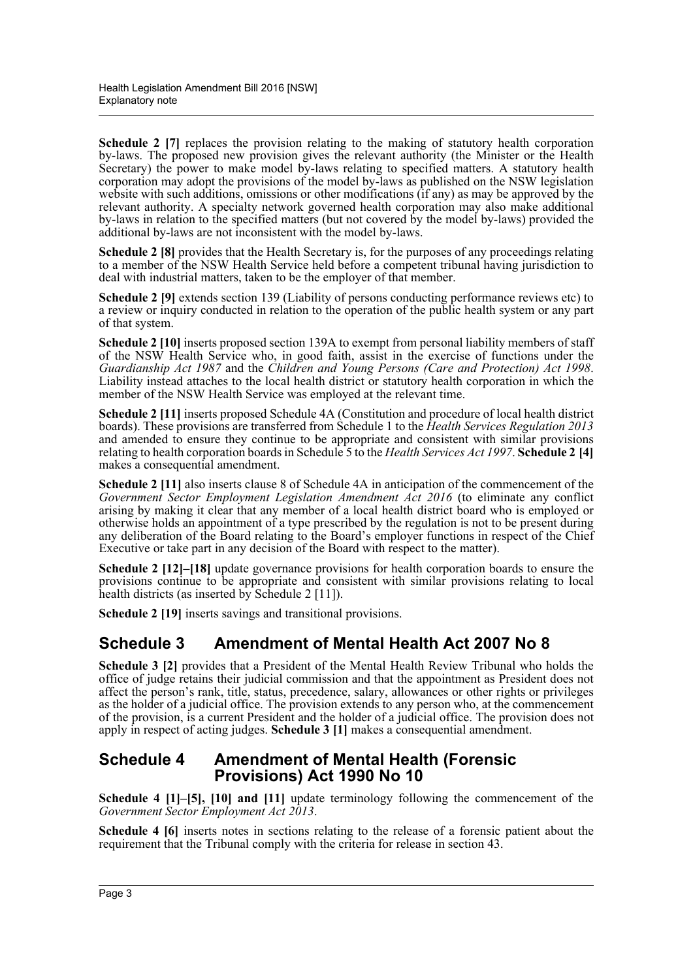**Schedule 2** [7] replaces the provision relating to the making of statutory health corporation by-laws. The proposed new provision gives the relevant authority (the Minister or the Health Secretary) the power to make model by-laws relating to specified matters. A statutory health corporation may adopt the provisions of the model by-laws as published on the NSW legislation website with such additions, omissions or other modifications (if any) as may be approved by the relevant authority. A specialty network governed health corporation may also make additional by-laws in relation to the specified matters (but not covered by the model by-laws) provided the additional by-laws are not inconsistent with the model by-laws.

**Schedule 2 [8]** provides that the Health Secretary is, for the purposes of any proceedings relating to a member of the NSW Health Service held before a competent tribunal having jurisdiction to deal with industrial matters, taken to be the employer of that member.

**Schedule 2 [9]** extends section 139 (Liability of persons conducting performance reviews etc) to a review or inquiry conducted in relation to the operation of the public health system or any part of that system.

**Schedule 2 [10]** inserts proposed section 139A to exempt from personal liability members of staff of the NSW Health Service who, in good faith, assist in the exercise of functions under the *Guardianship Act 1987* and the *Children and Young Persons (Care and Protection) Act 1998*. Liability instead attaches to the local health district or statutory health corporation in which the member of the NSW Health Service was employed at the relevant time.

**Schedule 2 [11]** inserts proposed Schedule 4A (Constitution and procedure of local health district boards). These provisions are transferred from Schedule 1 to the *Health Services Regulation 2013* and amended to ensure they continue to be appropriate and consistent with similar provisions relating to health corporation boards in Schedule 5 to the *Health Services Act 1997*. **Schedule 2 [4]** makes a consequential amendment.

**Schedule 2** [11] also inserts clause 8 of Schedule 4A in anticipation of the commencement of the *Government Sector Employment Legislation Amendment Act 2016* (to eliminate any conflict arising by making it clear that any member of a local health district board who is employed or otherwise holds an appointment of a type prescribed by the regulation is not to be present during any deliberation of the Board relating to the Board's employer functions in respect of the Chief Executive or take part in any decision of the Board with respect to the matter).

**Schedule 2 [12]–[18]** update governance provisions for health corporation boards to ensure the provisions continue to be appropriate and consistent with similar provisions relating to local health districts (as inserted by Schedule 2 [11]).

**Schedule 2 [19]** inserts savings and transitional provisions.

## **Schedule 3 Amendment of Mental Health Act 2007 No 8**

**Schedule 3 [2]** provides that a President of the Mental Health Review Tribunal who holds the office of judge retains their judicial commission and that the appointment as President does not affect the person's rank, title, status, precedence, salary, allowances or other rights or privileges as the holder of a judicial office. The provision extends to any person who, at the commencement of the provision, is a current President and the holder of a judicial office. The provision does not apply in respect of acting judges. **Schedule 3 [1]** makes a consequential amendment.

### **Schedule 4 Amendment of Mental Health (Forensic Provisions) Act 1990 No 10**

**Schedule 4 [1]–[5], [10] and [11]** update terminology following the commencement of the *Government Sector Employment Act 2013*.

**Schedule 4 [6]** inserts notes in sections relating to the release of a forensic patient about the requirement that the Tribunal comply with the criteria for release in section 43.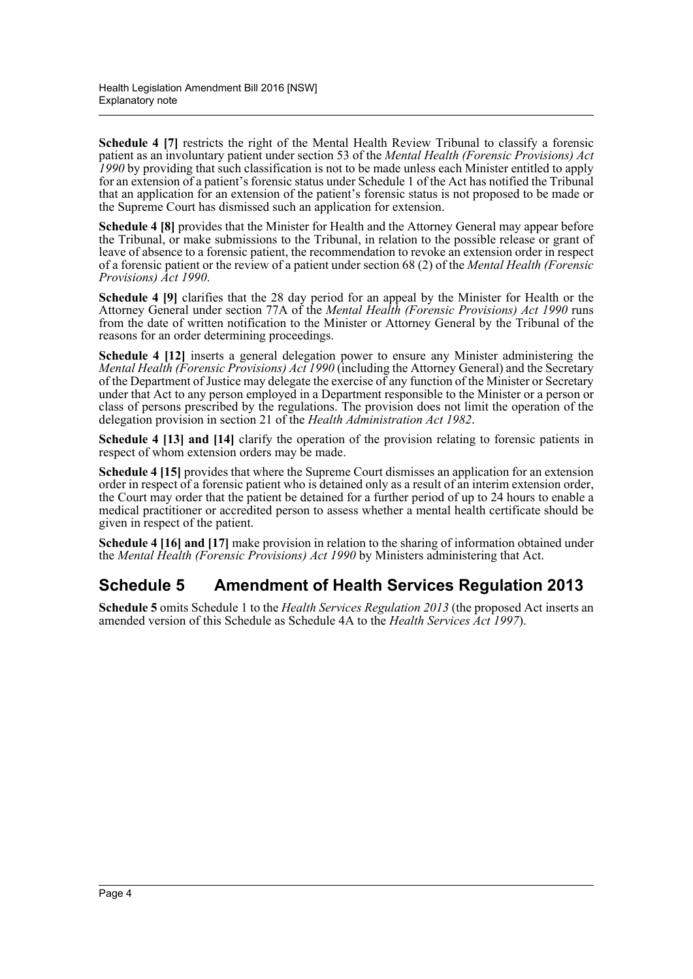**Schedule 4 [7]** restricts the right of the Mental Health Review Tribunal to classify a forensic patient as an involuntary patient under section 53 of the *Mental Health (Forensic Provisions) Act 1990* by providing that such classification is not to be made unless each Minister entitled to apply for an extension of a patient's forensic status under Schedule 1 of the Act has notified the Tribunal that an application for an extension of the patient's forensic status is not proposed to be made or the Supreme Court has dismissed such an application for extension.

**Schedule 4 [8]** provides that the Minister for Health and the Attorney General may appear before the Tribunal, or make submissions to the Tribunal, in relation to the possible release or grant of leave of absence to a forensic patient, the recommendation to revoke an extension order in respect of a forensic patient or the review of a patient under section 68 (2) of the *Mental Health (Forensic Provisions) Act 1990*.

**Schedule 4 [9]** clarifies that the 28 day period for an appeal by the Minister for Health or the Attorney General under section 77A of the *Mental Health (Forensic Provisions) Act 1990* runs from the date of written notification to the Minister or Attorney General by the Tribunal of the reasons for an order determining proceedings.

**Schedule 4 [12]** inserts a general delegation power to ensure any Minister administering the *Mental Health (Forensic Provisions) Act 1990* (including the Attorney General) and the Secretary of the Department of Justice may delegate the exercise of any function of the Minister or Secretary under that Act to any person employed in a Department responsible to the Minister or a person or class of persons prescribed by the regulations. The provision does not limit the operation of the delegation provision in section 21 of the *Health Administration Act 1982*.

**Schedule 4 [13] and [14]** clarify the operation of the provision relating to forensic patients in respect of whom extension orders may be made.

**Schedule 4 [15]** provides that where the Supreme Court dismisses an application for an extension order in respect of a forensic patient who is detained only as a result of an interim extension order, the Court may order that the patient be detained for a further period of up to 24 hours to enable a medical practitioner or accredited person to assess whether a mental health certificate should be given in respect of the patient.

**Schedule 4 [16] and [17]** make provision in relation to the sharing of information obtained under the *Mental Health (Forensic Provisions) Act 1990* by Ministers administering that Act.

## **Schedule 5 Amendment of Health Services Regulation 2013**

**Schedule 5** omits Schedule 1 to the *Health Services Regulation 2013* (the proposed Act inserts an amended version of this Schedule as Schedule 4A to the *Health Services Act 1997*).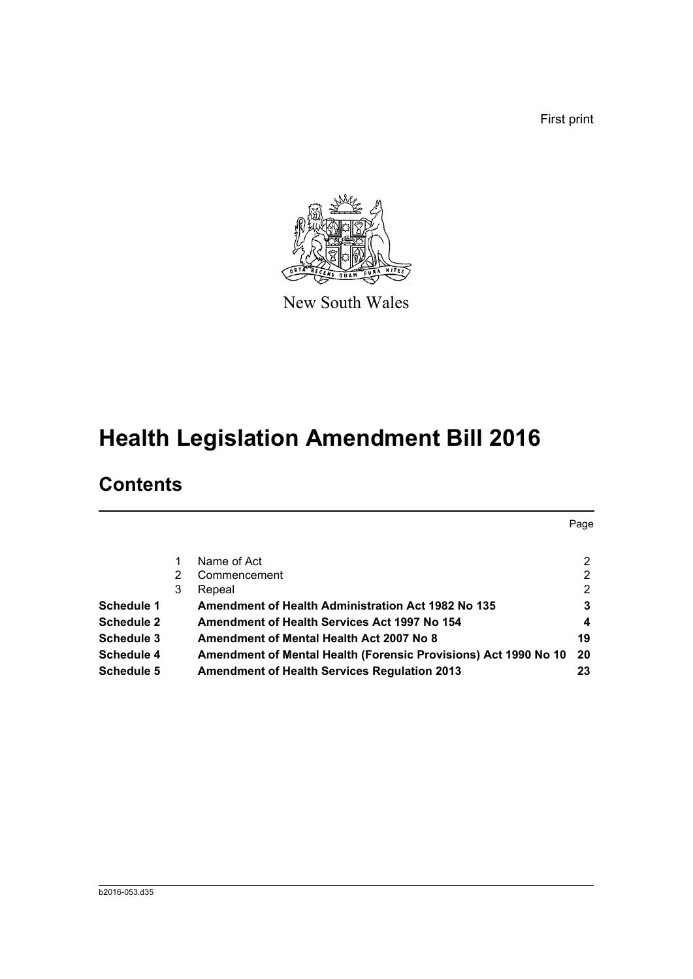First print

Page



New South Wales

# **Health Legislation Amendment Bill 2016**

# **Contents**

|                   |   | Name of Act                                                     | $\mathbf{2}^{\prime}$ |
|-------------------|---|-----------------------------------------------------------------|-----------------------|
|                   | 2 | Commencement                                                    | $\overline{2}$        |
|                   | 3 | Repeal                                                          | $\overline{2}$        |
| <b>Schedule 1</b> |   | <b>Amendment of Health Administration Act 1982 No 135</b>       | 3                     |
| <b>Schedule 2</b> |   | Amendment of Health Services Act 1997 No 154                    | 4                     |
| <b>Schedule 3</b> |   | Amendment of Mental Health Act 2007 No 8                        | 19                    |
| <b>Schedule 4</b> |   | Amendment of Mental Health (Forensic Provisions) Act 1990 No 10 | 20                    |
| <b>Schedule 5</b> |   | <b>Amendment of Health Services Regulation 2013</b>             | 23                    |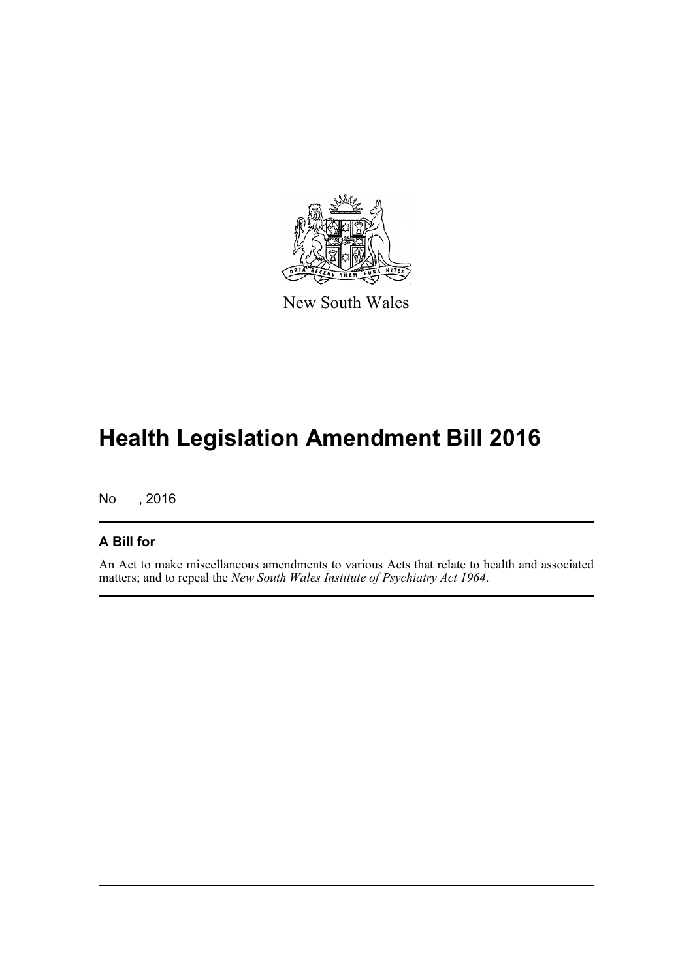

New South Wales

# **Health Legislation Amendment Bill 2016**

No , 2016

### **A Bill for**

An Act to make miscellaneous amendments to various Acts that relate to health and associated matters; and to repeal the *New South Wales Institute of Psychiatry Act 1964*.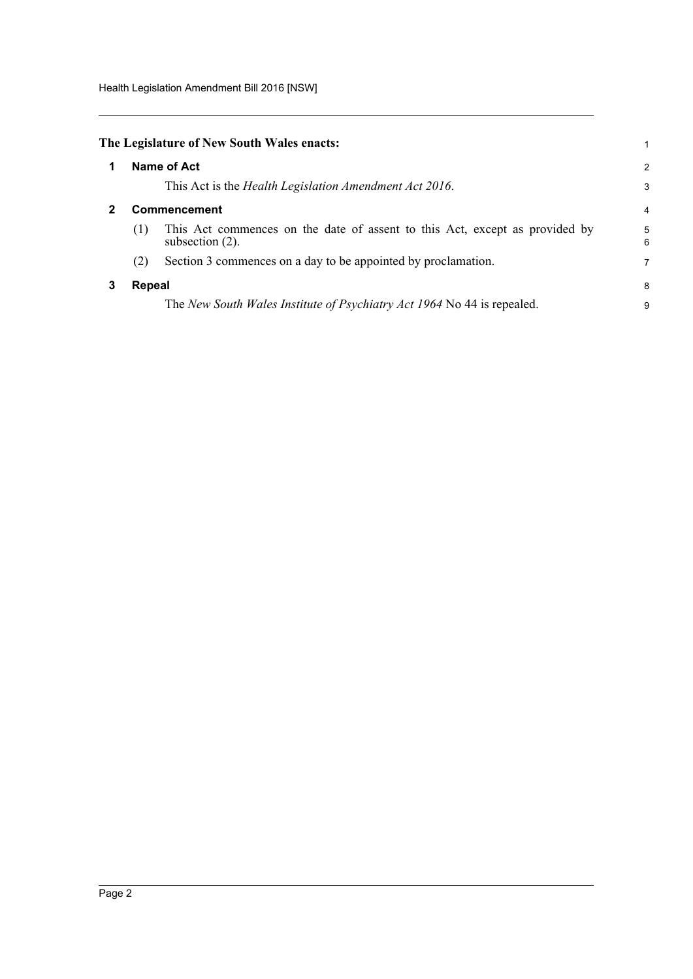Health Legislation Amendment Bill 2016 [NSW]

<span id="page-6-2"></span><span id="page-6-1"></span><span id="page-6-0"></span>

|   |                     | The Legislature of New South Wales enacts:                                                        | 1      |
|---|---------------------|---------------------------------------------------------------------------------------------------|--------|
|   |                     | Name of Act                                                                                       | 2      |
|   |                     | This Act is the Health Legislation Amendment Act 2016.                                            | 3      |
| 2 | <b>Commencement</b> |                                                                                                   |        |
|   | (1)                 | This Act commences on the date of assent to this Act, except as provided by<br>subsection $(2)$ . | 5<br>6 |
|   | (2)                 | Section 3 commences on a day to be appointed by proclamation.                                     | 7      |
| 3 | Repeal              |                                                                                                   | 8      |
|   |                     | The New South Wales Institute of Psychiatry Act 1964 No 44 is repealed.                           | 9      |
|   |                     |                                                                                                   |        |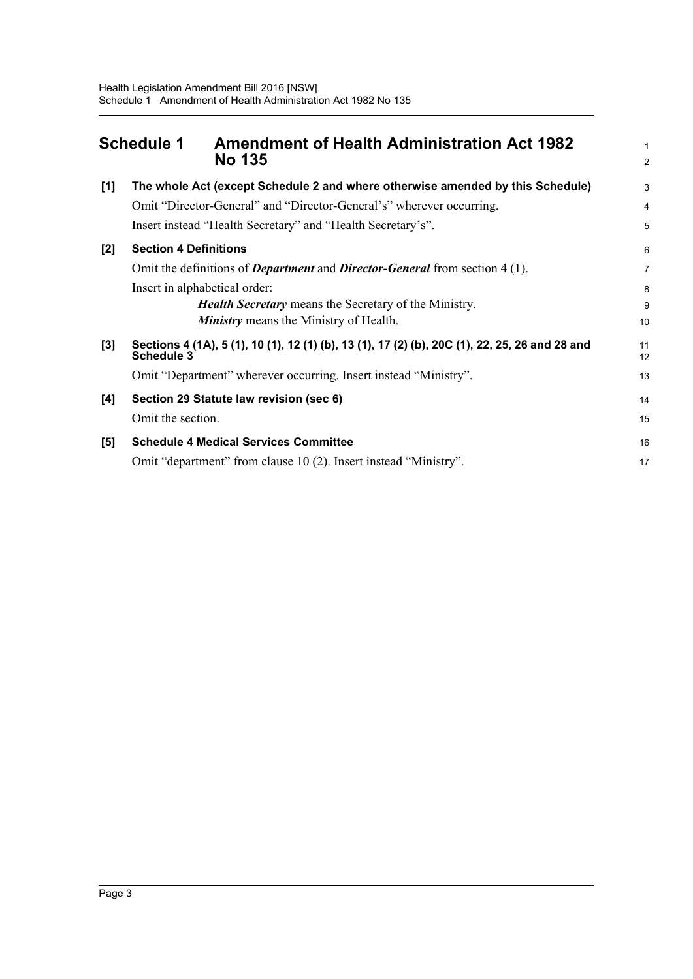<span id="page-7-0"></span>

| <b>Schedule 1</b> |                               | <b>Amendment of Health Administration Act 1982</b><br><b>No 135</b>                            |                |  |  |  |
|-------------------|-------------------------------|------------------------------------------------------------------------------------------------|----------------|--|--|--|
| [1]               |                               | The whole Act (except Schedule 2 and where otherwise amended by this Schedule)                 | 3              |  |  |  |
|                   |                               | Omit "Director-General" and "Director-General's" wherever occurring.                           | $\overline{4}$ |  |  |  |
|                   |                               | Insert instead "Health Secretary" and "Health Secretary's".                                    | 5              |  |  |  |
| [2]               | <b>Section 4 Definitions</b>  |                                                                                                | 6              |  |  |  |
|                   |                               | Omit the definitions of <i>Department</i> and <i>Director-General</i> from section 4 (1).      | $\overline{7}$ |  |  |  |
|                   | Insert in alphabetical order: |                                                                                                |                |  |  |  |
|                   |                               | <b>Health Secretary</b> means the Secretary of the Ministry.                                   | 9              |  |  |  |
|                   |                               | <b>Ministry</b> means the Ministry of Health.                                                  | 10             |  |  |  |
| $[3]$             | Schedule 3                    | Sections 4 (1A), 5 (1), 10 (1), 12 (1) (b), 13 (1), 17 (2) (b), 20C (1), 22, 25, 26 and 28 and | 11<br>12       |  |  |  |
|                   |                               | Omit "Department" wherever occurring. Insert instead "Ministry".                               | 13             |  |  |  |
| [4]               |                               | Section 29 Statute law revision (sec 6)                                                        | 14             |  |  |  |
|                   | Omit the section.             |                                                                                                | 15             |  |  |  |
| [5]               |                               | <b>Schedule 4 Medical Services Committee</b>                                                   | 16             |  |  |  |
|                   |                               | Omit "department" from clause 10 (2). Insert instead "Ministry".                               | 17             |  |  |  |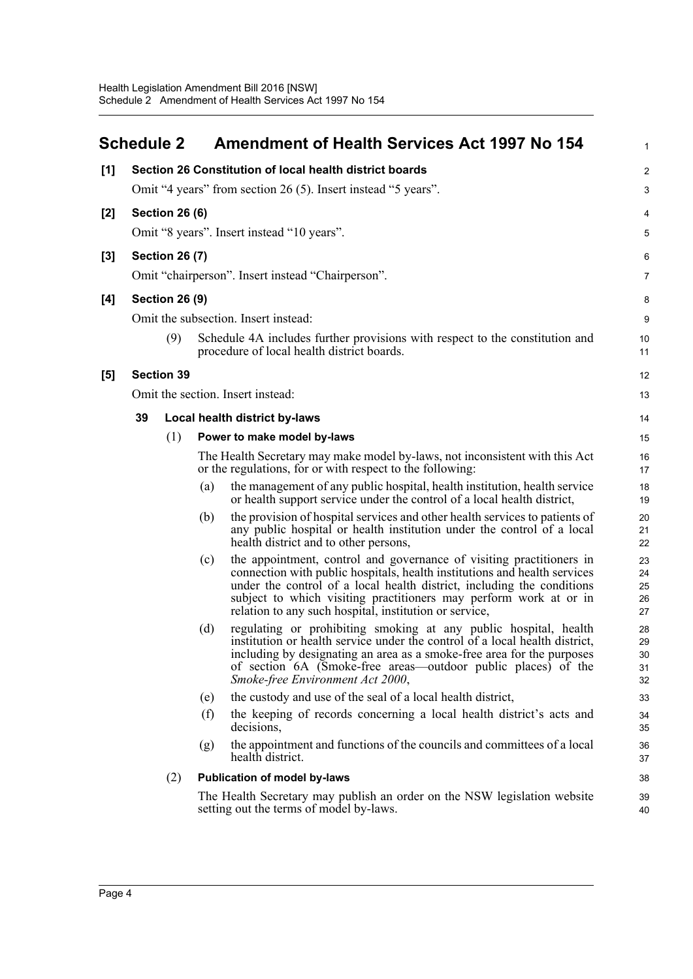<span id="page-8-0"></span>

|       | <b>Schedule 2</b> |                       |     | <b>Amendment of Health Services Act 1997 No 154</b>                                                                                                                                                                                                                                                                                                        | $\mathbf{1}$                   |
|-------|-------------------|-----------------------|-----|------------------------------------------------------------------------------------------------------------------------------------------------------------------------------------------------------------------------------------------------------------------------------------------------------------------------------------------------------------|--------------------------------|
| [1]   |                   |                       |     | Section 26 Constitution of local health district boards                                                                                                                                                                                                                                                                                                    | $\overline{2}$                 |
|       |                   |                       |     | Omit "4 years" from section 26 (5). Insert instead "5 years".                                                                                                                                                                                                                                                                                              | 3                              |
| $[2]$ |                   | <b>Section 26 (6)</b> |     |                                                                                                                                                                                                                                                                                                                                                            | 4                              |
|       |                   |                       |     | Omit "8 years". Insert instead "10 years".                                                                                                                                                                                                                                                                                                                 | 5                              |
| $[3]$ |                   | <b>Section 26 (7)</b> |     |                                                                                                                                                                                                                                                                                                                                                            | 6                              |
|       |                   |                       |     | Omit "chairperson". Insert instead "Chairperson".                                                                                                                                                                                                                                                                                                          | 7                              |
| [4]   |                   | <b>Section 26 (9)</b> |     |                                                                                                                                                                                                                                                                                                                                                            | 8                              |
|       |                   |                       |     | Omit the subsection. Insert instead:                                                                                                                                                                                                                                                                                                                       | 9                              |
|       |                   | (9)                   |     | Schedule 4A includes further provisions with respect to the constitution and<br>procedure of local health district boards.                                                                                                                                                                                                                                 | 10<br>11                       |
| [5]   |                   | <b>Section 39</b>     |     |                                                                                                                                                                                                                                                                                                                                                            | 12                             |
|       |                   |                       |     | Omit the section. Insert instead:                                                                                                                                                                                                                                                                                                                          | 13                             |
|       | 39                |                       |     | Local health district by-laws                                                                                                                                                                                                                                                                                                                              | 14                             |
|       |                   | (1)                   |     | Power to make model by-laws                                                                                                                                                                                                                                                                                                                                | 15                             |
|       |                   |                       |     | The Health Secretary may make model by-laws, not inconsistent with this Act<br>or the regulations, for or with respect to the following:                                                                                                                                                                                                                   | 16<br>17                       |
|       |                   |                       | (a) | the management of any public hospital, health institution, health service<br>or health support service under the control of a local health district,                                                                                                                                                                                                       | 18<br>19                       |
|       |                   |                       | (b) | the provision of hospital services and other health services to patients of<br>any public hospital or health institution under the control of a local<br>health district and to other persons,                                                                                                                                                             | 20<br>21<br>22                 |
|       |                   |                       | (c) | the appointment, control and governance of visiting practitioners in<br>connection with public hospitals, health institutions and health services<br>under the control of a local health district, including the conditions<br>subject to which visiting practitioners may perform work at or in<br>relation to any such hospital, institution or service, | 23<br>24<br>25<br>26<br>27     |
|       |                   |                       | (d) | regulating or prohibiting smoking at any public hospital, health<br>institution or health service under the control of a local health district,<br>including by designating an area as a smoke-free area for the purposes<br>of section 6A (Smoke-free areas—outdoor public places) of the<br>Smoke-free Environment Act 2000,                             | 28<br>29<br>$30\,$<br>31<br>32 |
|       |                   |                       | (e) | the custody and use of the seal of a local health district,                                                                                                                                                                                                                                                                                                | 33                             |
|       |                   |                       | (f) | the keeping of records concerning a local health district's acts and<br>decisions,                                                                                                                                                                                                                                                                         | 34<br>35                       |
|       |                   |                       | (g) | the appointment and functions of the councils and committees of a local<br>health district.                                                                                                                                                                                                                                                                | 36<br>37                       |
|       |                   | (2)                   |     | <b>Publication of model by-laws</b>                                                                                                                                                                                                                                                                                                                        | 38                             |
|       |                   |                       |     | The Health Secretary may publish an order on the NSW legislation website<br>setting out the terms of model by-laws.                                                                                                                                                                                                                                        | 39<br>40                       |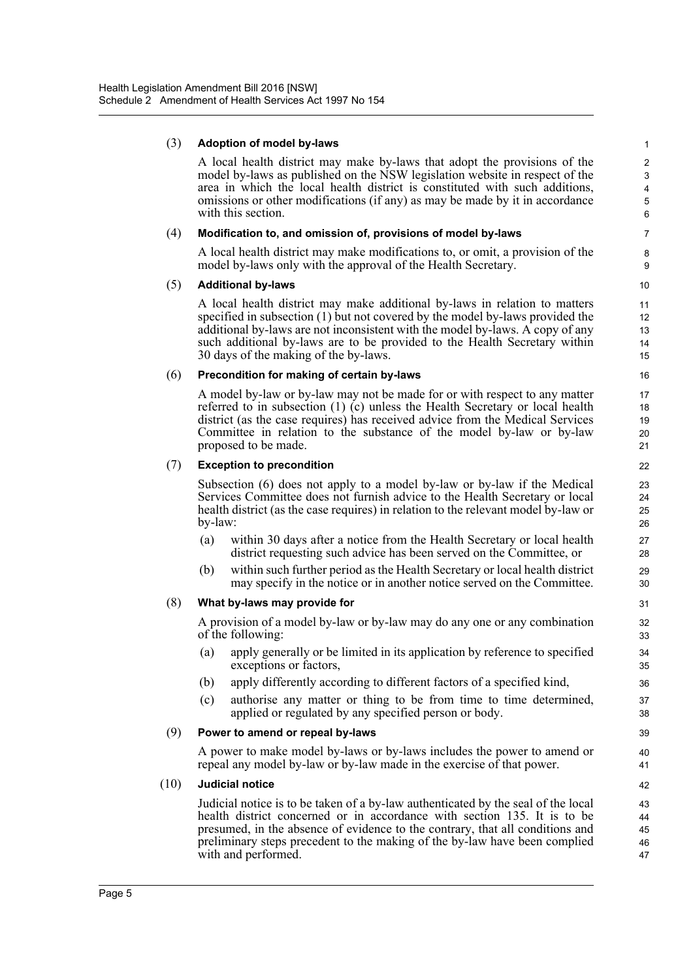#### (3) **Adoption of model by-laws**

A local health district may make by-laws that adopt the provisions of the model by-laws as published on the NSW legislation website in respect of the area in which the local health district is constituted with such additions, omissions or other modifications (if any) as may be made by it in accordance with this section.

#### (4) **Modification to, and omission of, provisions of model by-laws**

A local health district may make modifications to, or omit, a provision of the model by-laws only with the approval of the Health Secretary.

#### (5) **Additional by-laws**

A local health district may make additional by-laws in relation to matters specified in subsection (1) but not covered by the model by-laws provided the additional by-laws are not inconsistent with the model by-laws. A copy of any such additional by-laws are to be provided to the Health Secretary within 30 days of the making of the by-laws.

#### (6) **Precondition for making of certain by-laws**

A model by-law or by-law may not be made for or with respect to any matter referred to in subsection (1) (c) unless the Health Secretary or local health district (as the case requires) has received advice from the Medical Services Committee in relation to the substance of the model by-law or by-law proposed to be made.

#### (7) **Exception to precondition**

Subsection (6) does not apply to a model by-law or by-law if the Medical Services Committee does not furnish advice to the Health Secretary or local health district (as the case requires) in relation to the relevant model by-law or by-law:

- (a) within 30 days after a notice from the Health Secretary or local health district requesting such advice has been served on the Committee, or
- (b) within such further period as the Health Secretary or local health district may specify in the notice or in another notice served on the Committee.

#### (8) **What by-laws may provide for**

A provision of a model by-law or by-law may do any one or any combination of the following:

- (a) apply generally or be limited in its application by reference to specified exceptions or factors,
- (b) apply differently according to different factors of a specified kind,
- (c) authorise any matter or thing to be from time to time determined, applied or regulated by any specified person or body.

#### (9) **Power to amend or repeal by-laws**

A power to make model by-laws or by-laws includes the power to amend or repeal any model by-law or by-law made in the exercise of that power.

#### (10) **Judicial notice**

Judicial notice is to be taken of a by-law authenticated by the seal of the local health district concerned or in accordance with section 135. It is to be presumed, in the absence of evidence to the contrary, that all conditions and preliminary steps precedent to the making of the by-law have been complied with and performed.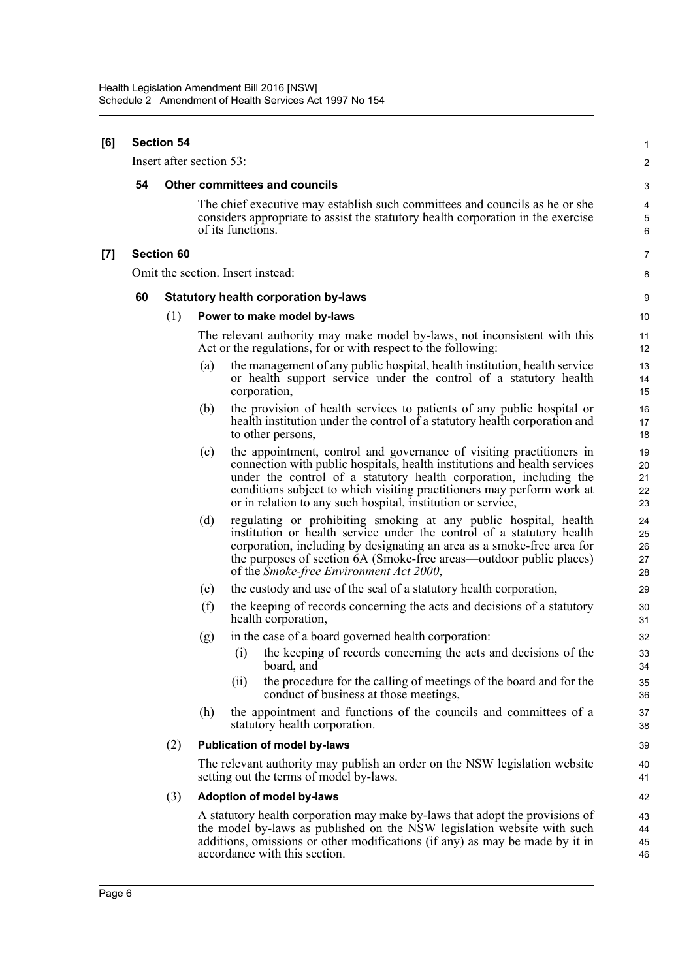| [6]   | <b>Section 54</b> |                          |                                             |                                                                                                                                                                                                                                                                                                                                                                   |                            |  |  |  |  |
|-------|-------------------|--------------------------|---------------------------------------------|-------------------------------------------------------------------------------------------------------------------------------------------------------------------------------------------------------------------------------------------------------------------------------------------------------------------------------------------------------------------|----------------------------|--|--|--|--|
|       |                   | Insert after section 53: |                                             |                                                                                                                                                                                                                                                                                                                                                                   | $\overline{\mathbf{c}}$    |  |  |  |  |
|       | 54                |                          |                                             | <b>Other committees and councils</b>                                                                                                                                                                                                                                                                                                                              | 3                          |  |  |  |  |
|       |                   |                          |                                             | The chief executive may establish such committees and councils as he or she<br>considers appropriate to assist the statutory health corporation in the exercise<br>of its functions.                                                                                                                                                                              | 4<br>5<br>6                |  |  |  |  |
| $[7]$ | <b>Section 60</b> |                          |                                             |                                                                                                                                                                                                                                                                                                                                                                   |                            |  |  |  |  |
|       |                   |                          |                                             | Omit the section. Insert instead:                                                                                                                                                                                                                                                                                                                                 | 8                          |  |  |  |  |
|       | 60                |                          | <b>Statutory health corporation by-laws</b> |                                                                                                                                                                                                                                                                                                                                                                   |                            |  |  |  |  |
|       |                   | (1)                      | Power to make model by-laws                 |                                                                                                                                                                                                                                                                                                                                                                   |                            |  |  |  |  |
|       |                   |                          |                                             | The relevant authority may make model by-laws, not inconsistent with this<br>Act or the regulations, for or with respect to the following:                                                                                                                                                                                                                        | 11<br>12                   |  |  |  |  |
|       |                   |                          | (a)                                         | the management of any public hospital, health institution, health service<br>or health support service under the control of a statutory health<br>corporation,                                                                                                                                                                                                    | 13<br>14<br>15             |  |  |  |  |
|       |                   |                          | (b)                                         | the provision of health services to patients of any public hospital or<br>health institution under the control of a statutory health corporation and<br>to other persons,                                                                                                                                                                                         | 16<br>17<br>18             |  |  |  |  |
|       |                   |                          | (c)                                         | the appointment, control and governance of visiting practitioners in<br>connection with public hospitals, health institutions and health services<br>under the control of a statutory health corporation, including the<br>conditions subject to which visiting practitioners may perform work at<br>or in relation to any such hospital, institution or service, | 19<br>20<br>21<br>22<br>23 |  |  |  |  |
|       |                   |                          | (d)                                         | regulating or prohibiting smoking at any public hospital, health<br>institution or health service under the control of a statutory health<br>corporation, including by designating an area as a smoke-free area for<br>the purposes of section 6A (Smoke-free areas—outdoor public places)<br>of the <i>Smoke-free Environment Act 2000</i> ,                     | 24<br>25<br>26<br>27<br>28 |  |  |  |  |
|       |                   |                          | (e)                                         | the custody and use of the seal of a statutory health corporation,                                                                                                                                                                                                                                                                                                | 29                         |  |  |  |  |
|       |                   |                          | (f)                                         | the keeping of records concerning the acts and decisions of a statutory<br>health corporation,                                                                                                                                                                                                                                                                    | 30<br>31                   |  |  |  |  |
|       |                   |                          | (g)                                         | in the case of a board governed health corporation:                                                                                                                                                                                                                                                                                                               | 32                         |  |  |  |  |
|       |                   |                          |                                             | (i) the keeping of records concerning the acts and decisions of the<br>board, and                                                                                                                                                                                                                                                                                 | 33<br>34                   |  |  |  |  |
|       |                   |                          |                                             | the procedure for the calling of meetings of the board and for the<br>(ii)<br>conduct of business at those meetings,                                                                                                                                                                                                                                              | 35<br>36                   |  |  |  |  |
|       |                   |                          | (h)                                         | the appointment and functions of the councils and committees of a<br>statutory health corporation.                                                                                                                                                                                                                                                                | 37<br>38                   |  |  |  |  |
|       |                   | (2)                      |                                             | <b>Publication of model by-laws</b>                                                                                                                                                                                                                                                                                                                               | 39                         |  |  |  |  |
|       |                   |                          |                                             | The relevant authority may publish an order on the NSW legislation website<br>setting out the terms of model by-laws.                                                                                                                                                                                                                                             | 40<br>41                   |  |  |  |  |
|       |                   | (3)                      |                                             | Adoption of model by-laws                                                                                                                                                                                                                                                                                                                                         | 42                         |  |  |  |  |
|       |                   |                          |                                             | A statutory health corporation may make by-laws that adopt the provisions of<br>the model by-laws as published on the NSW legislation website with such<br>additions, omissions or other modifications (if any) as may be made by it in<br>accordance with this section.                                                                                          | 43<br>44<br>45<br>46       |  |  |  |  |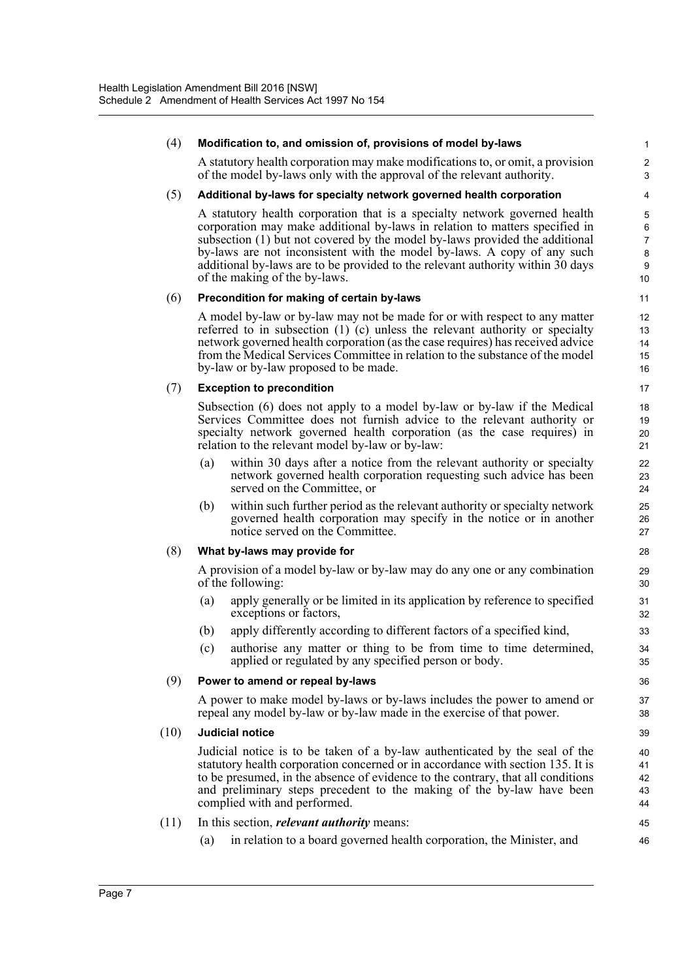| (4)  | Modification to, and omission of, provisions of model by-laws                                                                                                                                                                                                                                                                                                                                                                          | 1                                                     |
|------|----------------------------------------------------------------------------------------------------------------------------------------------------------------------------------------------------------------------------------------------------------------------------------------------------------------------------------------------------------------------------------------------------------------------------------------|-------------------------------------------------------|
|      | A statutory health corporation may make modifications to, or omit, a provision<br>of the model by-laws only with the approval of the relevant authority.                                                                                                                                                                                                                                                                               | $\overline{2}$<br>3                                   |
| (5)  | Additional by-laws for specialty network governed health corporation                                                                                                                                                                                                                                                                                                                                                                   | 4                                                     |
|      | A statutory health corporation that is a specialty network governed health<br>corporation may make additional by-laws in relation to matters specified in<br>subsection (1) but not covered by the model by-laws provided the additional<br>by-laws are not inconsistent with the model by-laws. A copy of any such<br>additional by-laws are to be provided to the relevant authority within 30 days<br>of the making of the by-laws. | $\overline{5}$<br>6<br>$\overline{7}$<br>8<br>9<br>10 |
| (6)  | Precondition for making of certain by-laws                                                                                                                                                                                                                                                                                                                                                                                             | 11                                                    |
|      | A model by-law or by-law may not be made for or with respect to any matter<br>referred to in subsection $(1)$ $(c)$ unless the relevant authority or specialty<br>network governed health corporation (as the case requires) has received advice<br>from the Medical Services Committee in relation to the substance of the model<br>by-law or by-law proposed to be made.                                                             | 12<br>13<br>14<br>15<br>16                            |
| (7)  | <b>Exception to precondition</b>                                                                                                                                                                                                                                                                                                                                                                                                       | 17                                                    |
|      | Subsection (6) does not apply to a model by-law or by-law if the Medical<br>Services Committee does not furnish advice to the relevant authority or<br>specialty network governed health corporation (as the case requires) in<br>relation to the relevant model by-law or by-law:                                                                                                                                                     | 18<br>19<br>20<br>21                                  |
|      | within 30 days after a notice from the relevant authority or specialty<br>(a)<br>network governed health corporation requesting such advice has been<br>served on the Committee, or                                                                                                                                                                                                                                                    | 22<br>23<br>24                                        |
|      | within such further period as the relevant authority or specialty network<br>(b)<br>governed health corporation may specify in the notice or in another<br>notice served on the Committee.                                                                                                                                                                                                                                             | 25<br>26<br>27                                        |
| (8)  | What by-laws may provide for                                                                                                                                                                                                                                                                                                                                                                                                           | 28                                                    |
|      | A provision of a model by-law or by-law may do any one or any combination<br>of the following:                                                                                                                                                                                                                                                                                                                                         | 29<br>30                                              |
|      | apply generally or be limited in its application by reference to specified<br>(a)<br>exceptions or factors,                                                                                                                                                                                                                                                                                                                            | 31<br>32                                              |
|      | apply differently according to different factors of a specified kind,<br>(b)                                                                                                                                                                                                                                                                                                                                                           | 33                                                    |
|      | (c) authorise any matter or thing to be from time to time determined,<br>applied or regulated by any specified person or body.                                                                                                                                                                                                                                                                                                         | 34<br>35                                              |
| (9)  | Power to amend or repeal by-laws                                                                                                                                                                                                                                                                                                                                                                                                       | 36                                                    |
|      | A power to make model by-laws or by-laws includes the power to amend or<br>repeal any model by-law or by-law made in the exercise of that power.                                                                                                                                                                                                                                                                                       | 37<br>38                                              |
| (10) | Judicial notice                                                                                                                                                                                                                                                                                                                                                                                                                        | 39                                                    |
|      | Judicial notice is to be taken of a by-law authenticated by the seal of the<br>statutory health corporation concerned or in accordance with section 135. It is<br>to be presumed, in the absence of evidence to the contrary, that all conditions<br>and preliminary steps precedent to the making of the by-law have been<br>complied with and performed.                                                                             | 40<br>41<br>42<br>43<br>44                            |
| (11) | In this section, <i>relevant authority</i> means:                                                                                                                                                                                                                                                                                                                                                                                      | 45                                                    |
|      | in relation to a board governed health corporation, the Minister, and<br>(a)                                                                                                                                                                                                                                                                                                                                                           | 46                                                    |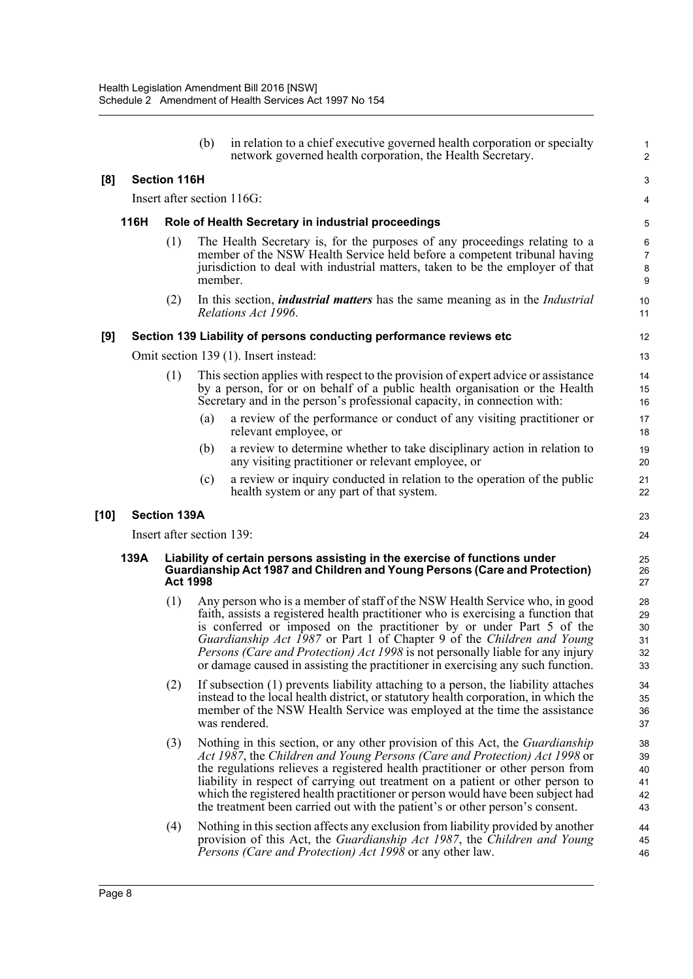|        |      |                           | (b)     | in relation to a chief executive governed health corporation or specialty<br>network governed health corporation, the Health Secretary.                                                                                                                                                                                                                                                                                                                                                           | $\mathbf{1}$<br>$\overline{2}$   |
|--------|------|---------------------------|---------|---------------------------------------------------------------------------------------------------------------------------------------------------------------------------------------------------------------------------------------------------------------------------------------------------------------------------------------------------------------------------------------------------------------------------------------------------------------------------------------------------|----------------------------------|
| [8]    |      | <b>Section 116H</b>       |         |                                                                                                                                                                                                                                                                                                                                                                                                                                                                                                   | 3                                |
|        |      |                           |         | Insert after section 116G:                                                                                                                                                                                                                                                                                                                                                                                                                                                                        | 4                                |
|        | 116H |                           |         | Role of Health Secretary in industrial proceedings                                                                                                                                                                                                                                                                                                                                                                                                                                                | 5                                |
|        |      | (1)                       | member. | The Health Secretary is, for the purposes of any proceedings relating to a<br>member of the NSW Health Service held before a competent tribunal having<br>jurisdiction to deal with industrial matters, taken to be the employer of that                                                                                                                                                                                                                                                          | 6<br>$\overline{7}$<br>8<br>9    |
|        |      | (2)                       |         | In this section, <i>industrial matters</i> has the same meaning as in the <i>Industrial</i><br>Relations Act 1996.                                                                                                                                                                                                                                                                                                                                                                                | 10<br>11                         |
| [9]    |      |                           |         | Section 139 Liability of persons conducting performance reviews etc                                                                                                                                                                                                                                                                                                                                                                                                                               | 12                               |
|        |      |                           |         | Omit section 139 (1). Insert instead:                                                                                                                                                                                                                                                                                                                                                                                                                                                             | 13                               |
|        |      | (1)                       |         | This section applies with respect to the provision of expert advice or assistance<br>by a person, for or on behalf of a public health organisation or the Health<br>Secretary and in the person's professional capacity, in connection with:                                                                                                                                                                                                                                                      | 14<br>15<br>16                   |
|        |      |                           | (a)     | a review of the performance or conduct of any visiting practitioner or<br>relevant employee, or                                                                                                                                                                                                                                                                                                                                                                                                   | 17<br>18                         |
|        |      |                           | (b)     | a review to determine whether to take disciplinary action in relation to<br>any visiting practitioner or relevant employee, or                                                                                                                                                                                                                                                                                                                                                                    | 19<br>20                         |
|        |      |                           | (c)     | a review or inquiry conducted in relation to the operation of the public<br>health system or any part of that system.                                                                                                                                                                                                                                                                                                                                                                             | 21<br>22                         |
| $[10]$ |      | <b>Section 139A</b>       |         |                                                                                                                                                                                                                                                                                                                                                                                                                                                                                                   | 23                               |
|        |      | Insert after section 139: |         |                                                                                                                                                                                                                                                                                                                                                                                                                                                                                                   | 24                               |
|        | 139A | <b>Act 1998</b>           |         | Liability of certain persons assisting in the exercise of functions under<br>Guardianship Act 1987 and Children and Young Persons (Care and Protection)                                                                                                                                                                                                                                                                                                                                           | 25<br>26<br>27                   |
|        |      | (1)                       |         | Any person who is a member of staff of the NSW Health Service who, in good<br>faith, assists a registered health practitioner who is exercising a function that<br>is conferred or imposed on the practitioner by or under Part 5 of the<br>Guardianship Act 1987 or Part 1 of Chapter 9 of the Children and Young<br><i>Persons (Care and Protection) Act 1998</i> is not personally liable for any injury<br>or damage caused in assisting the practitioner in exercising any such function.    | 28<br>29<br>30<br>31<br>32<br>33 |
|        |      | (2)                       |         | If subsection (1) prevents liability attaching to a person, the liability attaches<br>instead to the local health district, or statutory health corporation, in which the<br>member of the NSW Health Service was employed at the time the assistance<br>was rendered.                                                                                                                                                                                                                            | 34<br>35<br>36<br>37             |
|        |      | (3)                       |         | Nothing in this section, or any other provision of this Act, the Guardianship<br>Act 1987, the Children and Young Persons (Care and Protection) Act 1998 or<br>the regulations relieves a registered health practitioner or other person from<br>liability in respect of carrying out treatment on a patient or other person to<br>which the registered health practitioner or person would have been subject had<br>the treatment been carried out with the patient's or other person's consent. | 38<br>39<br>40<br>41<br>42<br>43 |
|        |      | (4)                       |         | Nothing in this section affects any exclusion from liability provided by another<br>provision of this Act, the Guardianship Act 1987, the Children and Young                                                                                                                                                                                                                                                                                                                                      | 44<br>45                         |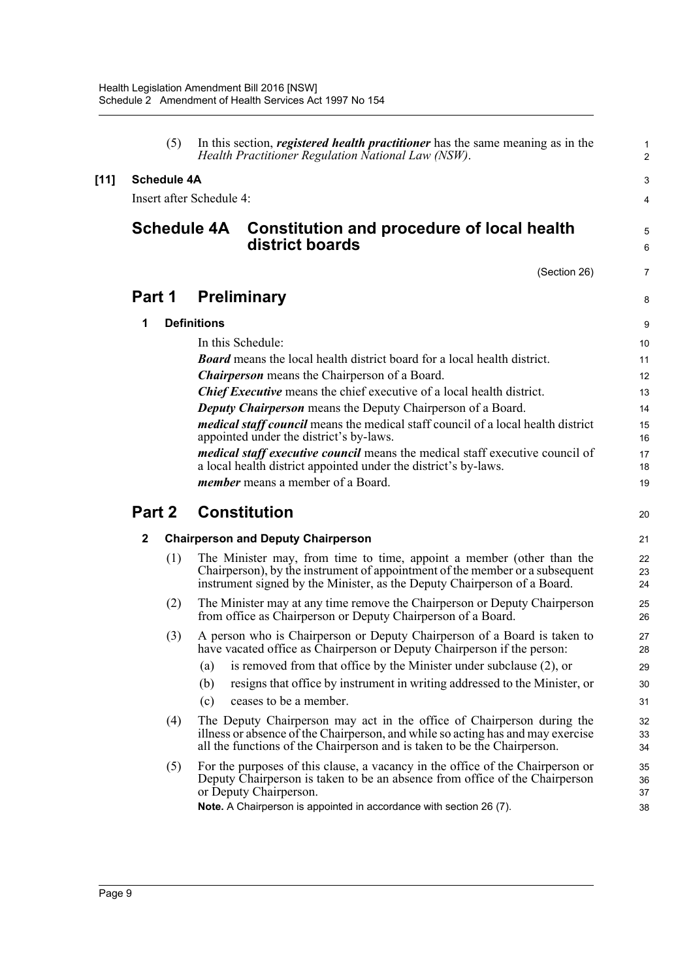| (5)                | In this section, <i>registered health practitioner</i> has the same meaning as in the<br>Health Practitioner Regulation National Law (NSW).                                                                                                                    | $\mathbf{1}$<br>2    |  |  |  |  |  |
|--------------------|----------------------------------------------------------------------------------------------------------------------------------------------------------------------------------------------------------------------------------------------------------------|----------------------|--|--|--|--|--|
| <b>Schedule 4A</b> |                                                                                                                                                                                                                                                                |                      |  |  |  |  |  |
|                    | Insert after Schedule 4:                                                                                                                                                                                                                                       | 4                    |  |  |  |  |  |
| <b>Schedule 4A</b> | Constitution and procedure of local health<br>district boards                                                                                                                                                                                                  | 5<br>6               |  |  |  |  |  |
|                    | (Section 26)                                                                                                                                                                                                                                                   | 7                    |  |  |  |  |  |
| Part 1             | <b>Preliminary</b>                                                                                                                                                                                                                                             | 8                    |  |  |  |  |  |
| 1                  | <b>Definitions</b>                                                                                                                                                                                                                                             | 9                    |  |  |  |  |  |
|                    | In this Schedule:                                                                                                                                                                                                                                              | 10                   |  |  |  |  |  |
|                    | <b>Board</b> means the local health district board for a local health district.                                                                                                                                                                                | 11                   |  |  |  |  |  |
|                    | <b>Chairperson</b> means the Chairperson of a Board.                                                                                                                                                                                                           | 12                   |  |  |  |  |  |
|                    | <b>Chief Executive</b> means the chief executive of a local health district.                                                                                                                                                                                   | 13                   |  |  |  |  |  |
|                    | <b>Deputy Chairperson</b> means the Deputy Chairperson of a Board.                                                                                                                                                                                             | 14                   |  |  |  |  |  |
|                    | <i>medical staff council</i> means the medical staff council of a local health district<br>appointed under the district's by-laws.                                                                                                                             | 15<br>16             |  |  |  |  |  |
|                    | <i>medical staff executive council</i> means the medical staff executive council of                                                                                                                                                                            | 17                   |  |  |  |  |  |
|                    | a local health district appointed under the district's by-laws.                                                                                                                                                                                                | 18                   |  |  |  |  |  |
|                    | <i>member</i> means a member of a Board.                                                                                                                                                                                                                       | 19                   |  |  |  |  |  |
| Part 2             | <b>Constitution</b>                                                                                                                                                                                                                                            | 20                   |  |  |  |  |  |
| $\mathbf{2}$       | <b>Chairperson and Deputy Chairperson</b>                                                                                                                                                                                                                      | 21                   |  |  |  |  |  |
| (1)                | The Minister may, from time to time, appoint a member (other than the<br>Chairperson), by the instrument of appointment of the member or a subsequent<br>instrument signed by the Minister, as the Deputy Chairperson of a Board.                              | 22<br>23<br>24       |  |  |  |  |  |
| (2)                | The Minister may at any time remove the Chairperson or Deputy Chairperson<br>from office as Chairperson or Deputy Chairperson of a Board.                                                                                                                      | 25<br>26             |  |  |  |  |  |
| (3)                | A person who is Chairperson or Deputy Chairperson of a Board is taken to<br>have vacated office as Chairperson or Deputy Chairperson if the person:                                                                                                            | 27<br>28             |  |  |  |  |  |
|                    | is removed from that office by the Minister under subclause (2), or<br>(a)                                                                                                                                                                                     | 29                   |  |  |  |  |  |
|                    | resigns that office by instrument in writing addressed to the Minister, or<br>(b)                                                                                                                                                                              | 30                   |  |  |  |  |  |
|                    | ceases to be a member.<br>(c)                                                                                                                                                                                                                                  | 31                   |  |  |  |  |  |
| (4)                | The Deputy Chairperson may act in the office of Chairperson during the<br>illness or absence of the Chairperson, and while so acting has and may exercise<br>all the functions of the Chairperson and is taken to be the Chairperson.                          | 32<br>33<br>34       |  |  |  |  |  |
| (5)                | For the purposes of this clause, a vacancy in the office of the Chairperson or<br>Deputy Chairperson is taken to be an absence from office of the Chairperson<br>or Deputy Chairperson.<br>Note. A Chairperson is appointed in accordance with section 26 (7). | 35<br>36<br>37<br>38 |  |  |  |  |  |

**[11]**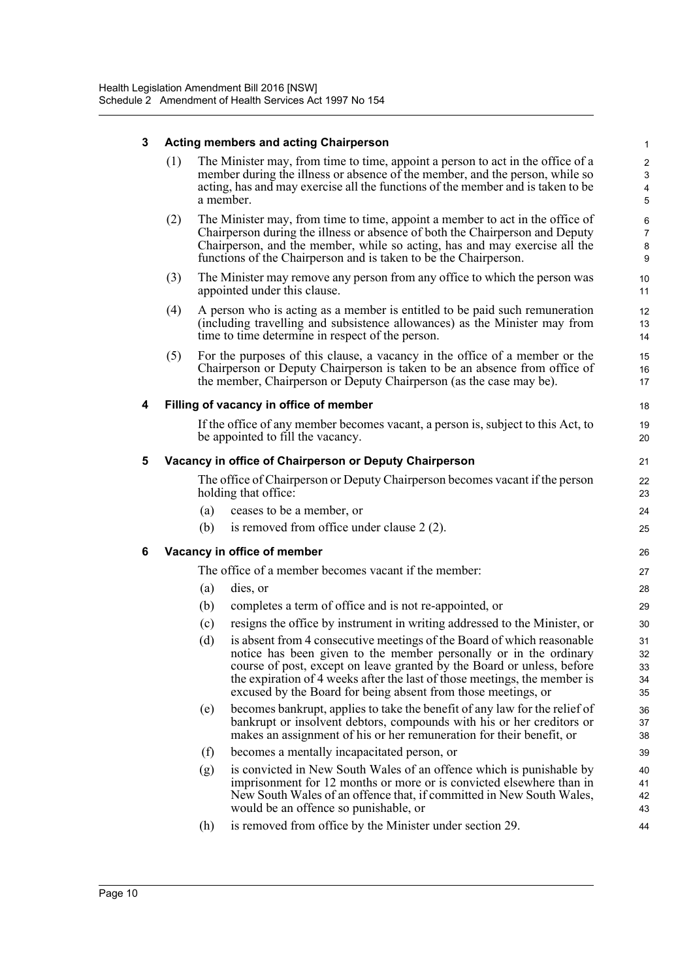| 3 | <b>Acting members and acting Chairperson</b> |     |                                                                                                                                                                                                                                                                                                                                                                     |                               |  |
|---|----------------------------------------------|-----|---------------------------------------------------------------------------------------------------------------------------------------------------------------------------------------------------------------------------------------------------------------------------------------------------------------------------------------------------------------------|-------------------------------|--|
|   | (1)                                          |     | The Minister may, from time to time, appoint a person to act in the office of a<br>member during the illness or absence of the member, and the person, while so<br>acting, has and may exercise all the functions of the member and is taken to be<br>a member.                                                                                                     | $\overline{c}$<br>3<br>4<br>5 |  |
|   | (2)                                          |     | The Minister may, from time to time, appoint a member to act in the office of<br>Chairperson during the illness or absence of both the Chairperson and Deputy<br>Chairperson, and the member, while so acting, has and may exercise all the<br>functions of the Chairperson and is taken to be the Chairperson.                                                     | 6<br>$\overline{7}$<br>8<br>9 |  |
|   | (3)                                          |     | The Minister may remove any person from any office to which the person was<br>appointed under this clause.                                                                                                                                                                                                                                                          | 10<br>11                      |  |
|   | (4)                                          |     | A person who is acting as a member is entitled to be paid such remuneration<br>(including travelling and subsistence allowances) as the Minister may from<br>time to time determine in respect of the person.                                                                                                                                                       | 12<br>13<br>14                |  |
|   | (5)                                          |     | For the purposes of this clause, a vacancy in the office of a member or the<br>Chairperson or Deputy Chairperson is taken to be an absence from office of<br>the member, Chairperson or Deputy Chairperson (as the case may be).                                                                                                                                    | 15<br>16<br>17                |  |
| 4 |                                              |     | Filling of vacancy in office of member                                                                                                                                                                                                                                                                                                                              | 18                            |  |
|   |                                              |     | If the office of any member becomes vacant, a person is, subject to this Act, to<br>be appointed to fill the vacancy.                                                                                                                                                                                                                                               | 19<br>20                      |  |
| 5 |                                              |     | Vacancy in office of Chairperson or Deputy Chairperson                                                                                                                                                                                                                                                                                                              | 21                            |  |
|   |                                              |     | The office of Chairperson or Deputy Chairperson becomes vacant if the person<br>holding that office:                                                                                                                                                                                                                                                                | 22<br>23                      |  |
|   |                                              | (a) | ceases to be a member, or                                                                                                                                                                                                                                                                                                                                           | 24                            |  |
|   |                                              | (b) | is removed from office under clause $2(2)$ .                                                                                                                                                                                                                                                                                                                        | 25                            |  |
| 6 |                                              |     | Vacancy in office of member                                                                                                                                                                                                                                                                                                                                         | 26                            |  |
|   |                                              |     | The office of a member becomes vacant if the member:                                                                                                                                                                                                                                                                                                                | 27                            |  |
|   |                                              | (a) | dies, or                                                                                                                                                                                                                                                                                                                                                            | 28                            |  |
|   |                                              | (b) | completes a term of office and is not re-appointed, or                                                                                                                                                                                                                                                                                                              | 29                            |  |
|   |                                              | (c) | resigns the office by instrument in writing addressed to the Minister, or                                                                                                                                                                                                                                                                                           | 30                            |  |
|   |                                              | (d) | is absent from 4 consecutive meetings of the Board of which reasonable<br>notice has been given to the member personally or in the ordinary<br>course of post, except on leave granted by the Board or unless, before<br>the expiration of 4 weeks after the last of those meetings, the member is<br>excused by the Board for being absent from those meetings, or | 31<br>32<br>33<br>34<br>35    |  |
|   |                                              | (e) | becomes bankrupt, applies to take the benefit of any law for the relief of<br>bankrupt or insolvent debtors, compounds with his or her creditors or<br>makes an assignment of his or her remuneration for their benefit, or                                                                                                                                         | 36<br>37<br>38                |  |
|   |                                              | (f) | becomes a mentally incapacitated person, or                                                                                                                                                                                                                                                                                                                         | 39                            |  |
|   |                                              | (g) | is convicted in New South Wales of an offence which is punishable by<br>imprisonment for 12 months or more or is convicted elsewhere than in<br>New South Wales of an offence that, if committed in New South Wales,<br>would be an offence so punishable, or                                                                                                       | 40<br>41<br>42<br>43          |  |
|   |                                              | (h) | is removed from office by the Minister under section 29.                                                                                                                                                                                                                                                                                                            | 44                            |  |
|   |                                              |     |                                                                                                                                                                                                                                                                                                                                                                     |                               |  |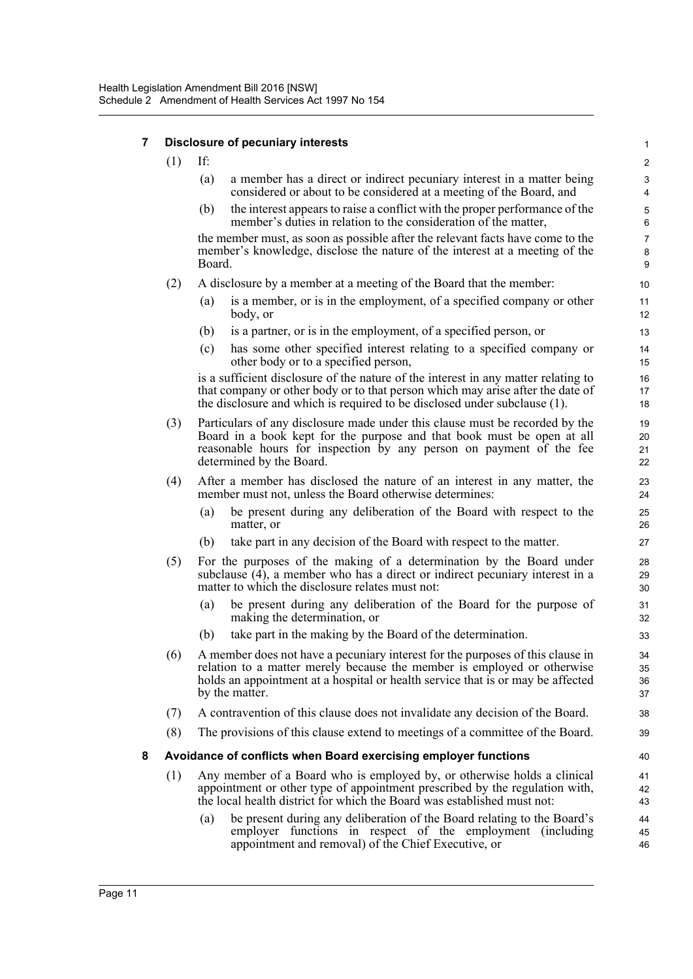#### **7 Disclosure of pecuniary interests**

- (1) If:
	- (a) a member has a direct or indirect pecuniary interest in a matter being considered or about to be considered at a meeting of the Board, and

(b) the interest appears to raise a conflict with the proper performance of the member's duties in relation to the consideration of the matter,

the member must, as soon as possible after the relevant facts have come to the member's knowledge, disclose the nature of the interest at a meeting of the Board.

- (2) A disclosure by a member at a meeting of the Board that the member:
	- (a) is a member, or is in the employment, of a specified company or other body, or
	- (b) is a partner, or is in the employment, of a specified person, or
	- (c) has some other specified interest relating to a specified company or other body or to a specified person,

is a sufficient disclosure of the nature of the interest in any matter relating to that company or other body or to that person which may arise after the date of the disclosure and which is required to be disclosed under subclause (1).

- (3) Particulars of any disclosure made under this clause must be recorded by the Board in a book kept for the purpose and that book must be open at all reasonable hours for inspection by any person on payment of the fee determined by the Board.
- (4) After a member has disclosed the nature of an interest in any matter, the member must not, unless the Board otherwise determines:
	- (a) be present during any deliberation of the Board with respect to the matter, or
	- (b) take part in any decision of the Board with respect to the matter.
- (5) For the purposes of the making of a determination by the Board under subclause (4), a member who has a direct or indirect pecuniary interest in a matter to which the disclosure relates must not:
	- (a) be present during any deliberation of the Board for the purpose of making the determination, or
	- (b) take part in the making by the Board of the determination.
- (6) A member does not have a pecuniary interest for the purposes of this clause in relation to a matter merely because the member is employed or otherwise holds an appointment at a hospital or health service that is or may be affected by the matter.
- (7) A contravention of this clause does not invalidate any decision of the Board.
- (8) The provisions of this clause extend to meetings of a committee of the Board.

#### **8 Avoidance of conflicts when Board exercising employer functions**

- (1) Any member of a Board who is employed by, or otherwise holds a clinical appointment or other type of appointment prescribed by the regulation with, the local health district for which the Board was established must not:
	- (a) be present during any deliberation of the Board relating to the Board's employer functions in respect of the employment (including appointment and removal) of the Chief Executive, or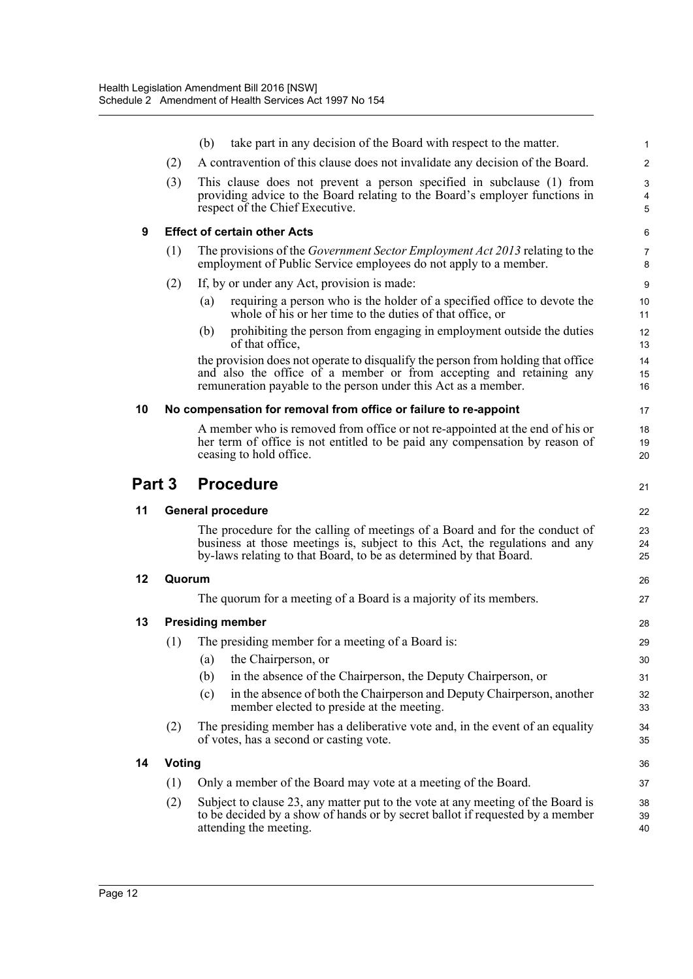|        |                                                                                                                                                                                                | take part in any decision of the Board with respect to the matter.<br>(b)                                                                                                                                                        | $\mathbf{1}$   |  |  |  |  |  |  |  |
|--------|------------------------------------------------------------------------------------------------------------------------------------------------------------------------------------------------|----------------------------------------------------------------------------------------------------------------------------------------------------------------------------------------------------------------------------------|----------------|--|--|--|--|--|--|--|
|        | (2)                                                                                                                                                                                            | A contravention of this clause does not invalidate any decision of the Board.                                                                                                                                                    | 2              |  |  |  |  |  |  |  |
|        | (3)<br>This clause does not prevent a person specified in subclause (1) from<br>providing advice to the Board relating to the Board's employer functions in<br>respect of the Chief Executive. |                                                                                                                                                                                                                                  |                |  |  |  |  |  |  |  |
| 9      |                                                                                                                                                                                                | <b>Effect of certain other Acts</b>                                                                                                                                                                                              | 6              |  |  |  |  |  |  |  |
|        | (1)                                                                                                                                                                                            | The provisions of the <i>Government Sector Employment Act 2013</i> relating to the<br>employment of Public Service employees do not apply to a member.                                                                           |                |  |  |  |  |  |  |  |
|        | (2)                                                                                                                                                                                            | If, by or under any Act, provision is made:                                                                                                                                                                                      | 9              |  |  |  |  |  |  |  |
|        |                                                                                                                                                                                                | requiring a person who is the holder of a specified office to devote the<br>(a)<br>whole of his or her time to the duties of that office, or                                                                                     | 10<br>11       |  |  |  |  |  |  |  |
|        |                                                                                                                                                                                                | prohibiting the person from engaging in employment outside the duties<br>(b)<br>of that office,                                                                                                                                  | 12<br>13       |  |  |  |  |  |  |  |
|        |                                                                                                                                                                                                | the provision does not operate to disqualify the person from holding that office<br>and also the office of a member or from accepting and retaining any<br>remuneration payable to the person under this Act as a member.        | 14<br>15<br>16 |  |  |  |  |  |  |  |
| 10     |                                                                                                                                                                                                | No compensation for removal from office or failure to re-appoint                                                                                                                                                                 | 17             |  |  |  |  |  |  |  |
|        |                                                                                                                                                                                                | A member who is removed from office or not re-appointed at the end of his or<br>her term of office is not entitled to be paid any compensation by reason of<br>ceasing to hold office.                                           | 18<br>19<br>20 |  |  |  |  |  |  |  |
| Part 3 |                                                                                                                                                                                                | <b>Procedure</b>                                                                                                                                                                                                                 | 21             |  |  |  |  |  |  |  |
|        |                                                                                                                                                                                                |                                                                                                                                                                                                                                  |                |  |  |  |  |  |  |  |
| 11     |                                                                                                                                                                                                | <b>General procedure</b>                                                                                                                                                                                                         | 22             |  |  |  |  |  |  |  |
|        |                                                                                                                                                                                                | The procedure for the calling of meetings of a Board and for the conduct of<br>business at those meetings is, subject to this Act, the regulations and any<br>by-laws relating to that Board, to be as determined by that Board. | 23<br>24<br>25 |  |  |  |  |  |  |  |
| 12     | Quorum                                                                                                                                                                                         |                                                                                                                                                                                                                                  | 26             |  |  |  |  |  |  |  |
|        |                                                                                                                                                                                                | The quorum for a meeting of a Board is a majority of its members.                                                                                                                                                                | 27             |  |  |  |  |  |  |  |
| 13     |                                                                                                                                                                                                | <b>Presiding member</b>                                                                                                                                                                                                          | 28             |  |  |  |  |  |  |  |
|        | (1)                                                                                                                                                                                            | The presiding member for a meeting of a Board is:                                                                                                                                                                                | 29             |  |  |  |  |  |  |  |
|        |                                                                                                                                                                                                | (a)<br>the Chairperson, or                                                                                                                                                                                                       | 30             |  |  |  |  |  |  |  |
|        |                                                                                                                                                                                                | (b)<br>in the absence of the Chairperson, the Deputy Chairperson, or                                                                                                                                                             | 31             |  |  |  |  |  |  |  |
|        |                                                                                                                                                                                                | in the absence of both the Chairperson and Deputy Chairperson, another<br>(c)<br>member elected to preside at the meeting.                                                                                                       | 32<br>33       |  |  |  |  |  |  |  |
|        | (2)                                                                                                                                                                                            | The presiding member has a deliberative vote and, in the event of an equality<br>of votes, has a second or casting vote.                                                                                                         | 34<br>35       |  |  |  |  |  |  |  |
| 14     | <b>Voting</b>                                                                                                                                                                                  |                                                                                                                                                                                                                                  | 36             |  |  |  |  |  |  |  |
|        | (1)                                                                                                                                                                                            | Only a member of the Board may vote at a meeting of the Board.                                                                                                                                                                   | 37             |  |  |  |  |  |  |  |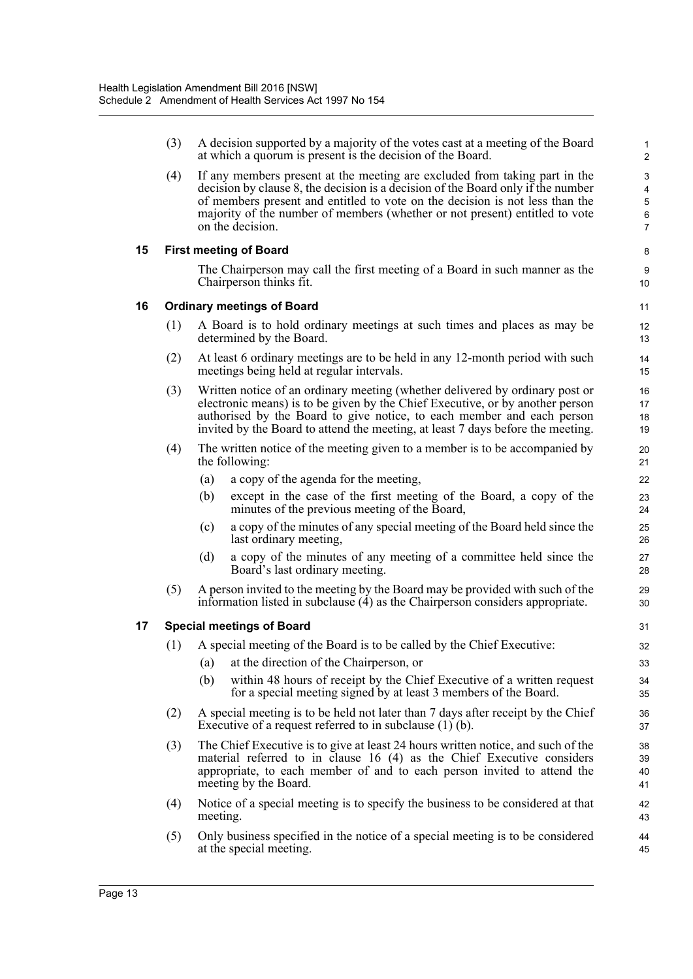(3) A decision supported by a majority of the votes cast at a meeting of the Board at which a quorum is present is the decision of the Board.

(4) If any members present at the meeting are excluded from taking part in the decision by clause 8, the decision is a decision of the Board only if the number of members present and entitled to vote on the decision is not less than the majority of the number of members (whether or not present) entitled to vote on the decision.

#### **15 First meeting of Board**

The Chairperson may call the first meeting of a Board in such manner as the Chairperson thinks fit.

#### **16 Ordinary meetings of Board**

- (1) A Board is to hold ordinary meetings at such times and places as may be determined by the Board.
- (2) At least 6 ordinary meetings are to be held in any 12-month period with such meetings being held at regular intervals.
- (3) Written notice of an ordinary meeting (whether delivered by ordinary post or electronic means) is to be given by the Chief Executive, or by another person authorised by the Board to give notice, to each member and each person invited by the Board to attend the meeting, at least 7 days before the meeting.
- (4) The written notice of the meeting given to a member is to be accompanied by the following:
	- (a) a copy of the agenda for the meeting,
	- (b) except in the case of the first meeting of the Board, a copy of the minutes of the previous meeting of the Board,
	- (c) a copy of the minutes of any special meeting of the Board held since the last ordinary meeting,
	- (d) a copy of the minutes of any meeting of a committee held since the Board's last ordinary meeting.
- (5) A person invited to the meeting by the Board may be provided with such of the information listed in subclause (4) as the Chairperson considers appropriate.

#### **17 Special meetings of Board**

- (1) A special meeting of the Board is to be called by the Chief Executive:
	- (a) at the direction of the Chairperson, or
	- (b) within 48 hours of receipt by the Chief Executive of a written request for a special meeting signed by at least 3 members of the Board.
- (2) A special meeting is to be held not later than 7 days after receipt by the Chief Executive of a request referred to in subclause (1) (b).
- (3) The Chief Executive is to give at least 24 hours written notice, and such of the material referred to in clause 16 (4) as the Chief Executive considers appropriate, to each member of and to each person invited to attend the meeting by the Board.
- (4) Notice of a special meeting is to specify the business to be considered at that meeting.
- (5) Only business specified in the notice of a special meeting is to be considered at the special meeting.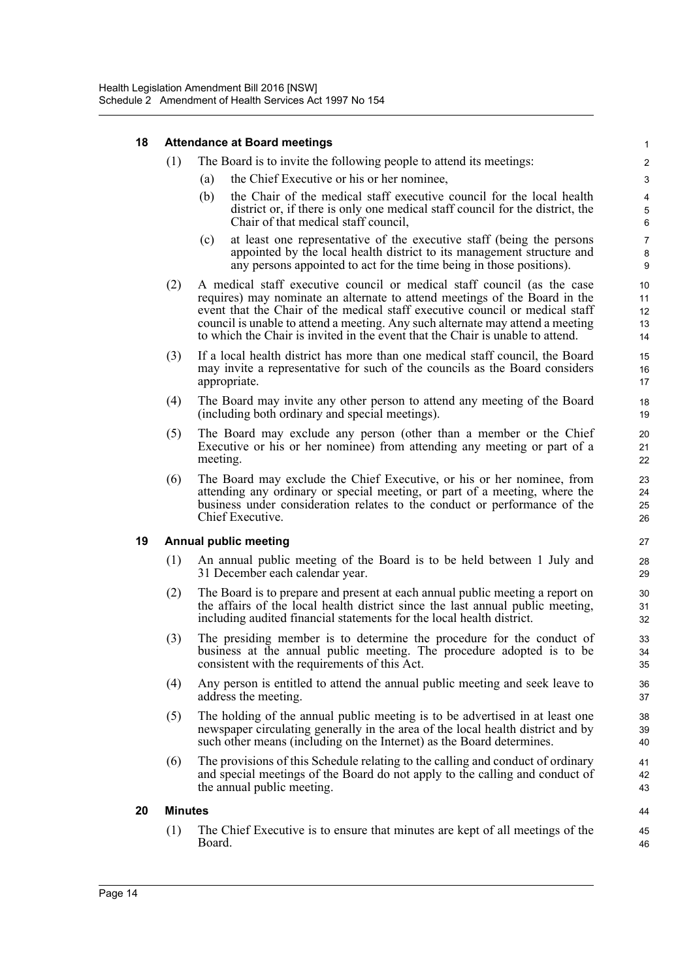| 18 | <b>Attendance at Board meetings</b> |                                                                                                                                                                                                                                                                                                                                                                                                           |                                             |  |  |  |  |
|----|-------------------------------------|-----------------------------------------------------------------------------------------------------------------------------------------------------------------------------------------------------------------------------------------------------------------------------------------------------------------------------------------------------------------------------------------------------------|---------------------------------------------|--|--|--|--|
|    | (1)                                 | The Board is to invite the following people to attend its meetings:                                                                                                                                                                                                                                                                                                                                       | $\overline{\mathbf{c}}$                     |  |  |  |  |
|    |                                     | the Chief Executive or his or her nominee,<br>(a)                                                                                                                                                                                                                                                                                                                                                         | 3                                           |  |  |  |  |
|    |                                     | the Chair of the medical staff executive council for the local health<br>(b)<br>district or, if there is only one medical staff council for the district, the<br>Chair of that medical staff council.                                                                                                                                                                                                     | $\overline{\mathbf{4}}$<br>$\mathbf 5$<br>6 |  |  |  |  |
|    |                                     | at least one representative of the executive staff (being the persons<br>(c)<br>appointed by the local health district to its management structure and<br>any persons appointed to act for the time being in those positions).                                                                                                                                                                            | $\overline{7}$<br>8<br>9                    |  |  |  |  |
|    | (2)                                 | A medical staff executive council or medical staff council (as the case<br>requires) may nominate an alternate to attend meetings of the Board in the<br>event that the Chair of the medical staff executive council or medical staff<br>council is unable to attend a meeting. Any such alternate may attend a meeting<br>to which the Chair is invited in the event that the Chair is unable to attend. | 10<br>11<br>12<br>13<br>14                  |  |  |  |  |
|    | (3)                                 | If a local health district has more than one medical staff council, the Board<br>may invite a representative for such of the councils as the Board considers<br>appropriate.                                                                                                                                                                                                                              |                                             |  |  |  |  |
|    | (4)                                 | The Board may invite any other person to attend any meeting of the Board<br>(including both ordinary and special meetings).                                                                                                                                                                                                                                                                               |                                             |  |  |  |  |
|    | (5)                                 | The Board may exclude any person (other than a member or the Chief<br>Executive or his or her nominee) from attending any meeting or part of a<br>meeting.                                                                                                                                                                                                                                                | 20<br>21<br>22                              |  |  |  |  |
|    | (6)                                 | The Board may exclude the Chief Executive, or his or her nominee, from<br>attending any ordinary or special meeting, or part of a meeting, where the<br>business under consideration relates to the conduct or performance of the<br>Chief Executive.                                                                                                                                                     | 23<br>24<br>25<br>26                        |  |  |  |  |
| 19 |                                     | <b>Annual public meeting</b>                                                                                                                                                                                                                                                                                                                                                                              | 27                                          |  |  |  |  |
|    | (1)                                 | An annual public meeting of the Board is to be held between 1 July and<br>31 December each calendar year.                                                                                                                                                                                                                                                                                                 | 28<br>29                                    |  |  |  |  |
|    | (2)                                 | The Board is to prepare and present at each annual public meeting a report on<br>the affairs of the local health district since the last annual public meeting,<br>including audited financial statements for the local health district.                                                                                                                                                                  | 30<br>31<br>32                              |  |  |  |  |
|    | (3)                                 | The presiding member is to determine the procedure for the conduct of<br>business at the annual public meeting. The procedure adopted is to be<br>consistent with the requirements of this Act.                                                                                                                                                                                                           | 33<br>34<br>35                              |  |  |  |  |
|    | (4)                                 | Any person is entitled to attend the annual public meeting and seek leave to<br>address the meeting.                                                                                                                                                                                                                                                                                                      | 36<br>37                                    |  |  |  |  |
|    | (5)                                 | The holding of the annual public meeting is to be advertised in at least one<br>newspaper circulating generally in the area of the local health district and by<br>such other means (including on the Internet) as the Board determines.                                                                                                                                                                  | 38<br>39<br>40                              |  |  |  |  |
|    | (6)                                 | The provisions of this Schedule relating to the calling and conduct of ordinary<br>and special meetings of the Board do not apply to the calling and conduct of<br>the annual public meeting.                                                                                                                                                                                                             | 41<br>42<br>43                              |  |  |  |  |
| 20 | <b>Minutes</b>                      |                                                                                                                                                                                                                                                                                                                                                                                                           | 44                                          |  |  |  |  |
|    | (1)                                 | The Chief Executive is to ensure that minutes are kept of all meetings of the<br>Board.                                                                                                                                                                                                                                                                                                                   | 45<br>46                                    |  |  |  |  |
|    |                                     |                                                                                                                                                                                                                                                                                                                                                                                                           |                                             |  |  |  |  |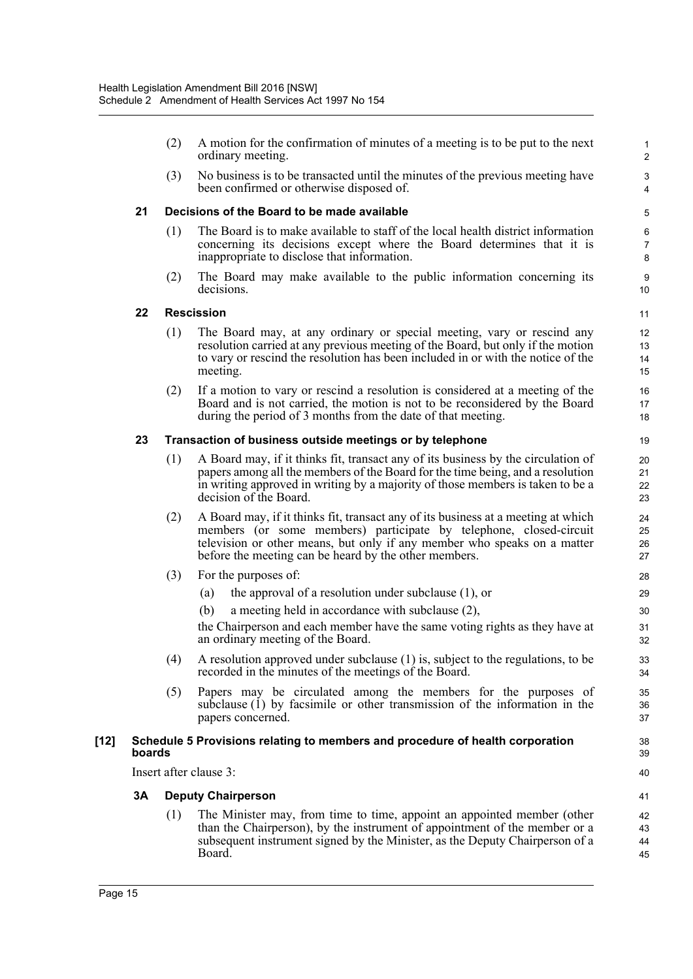- (2) A motion for the confirmation of minutes of a meeting is to be put to the next ordinary meeting.
- (3) No business is to be transacted until the minutes of the previous meeting have been confirmed or otherwise disposed of.

#### **21 Decisions of the Board to be made available**

- (1) The Board is to make available to staff of the local health district information concerning its decisions except where the Board determines that it is inappropriate to disclose that information.
- (2) The Board may make available to the public information concerning its decisions.

10 11 12

#### **22 Rescission**

- (1) The Board may, at any ordinary or special meeting, vary or rescind any resolution carried at any previous meeting of the Board, but only if the motion to vary or rescind the resolution has been included in or with the notice of the meeting.
- (2) If a motion to vary or rescind a resolution is considered at a meeting of the Board and is not carried, the motion is not to be reconsidered by the Board during the period of 3 months from the date of that meeting.

#### **23 Transaction of business outside meetings or by telephone**

- (1) A Board may, if it thinks fit, transact any of its business by the circulation of papers among all the members of the Board for the time being, and a resolution in writing approved in writing by a majority of those members is taken to be a decision of the Board.
- (2) A Board may, if it thinks fit, transact any of its business at a meeting at which members (or some members) participate by telephone, closed-circuit television or other means, but only if any member who speaks on a matter before the meeting can be heard by the other members.
- (3) For the purposes of:
	- (a) the approval of a resolution under subclause (1), or
	- (b) a meeting held in accordance with subclause (2),

the Chairperson and each member have the same voting rights as they have at an ordinary meeting of the Board.

- (4) A resolution approved under subclause (1) is, subject to the regulations, to be recorded in the minutes of the meetings of the Board.
- (5) Papers may be circulated among the members for the purposes of subclause (1) by facsimile or other transmission of the information in the papers concerned.

#### **[12] Schedule 5 Provisions relating to members and procedure of health corporation boards**

Insert after clause 3:

#### **3A Deputy Chairperson**

(1) The Minister may, from time to time, appoint an appointed member (other than the Chairperson), by the instrument of appointment of the member or a subsequent instrument signed by the Minister, as the Deputy Chairperson of a Board.

39 40 41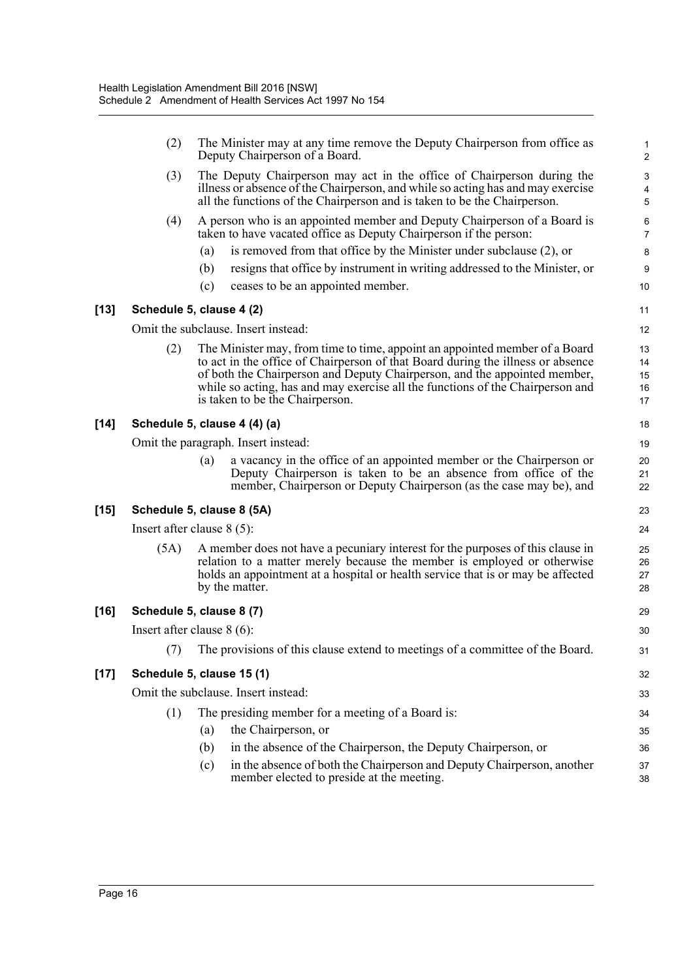|        | (2)                          |     | The Minister may at any time remove the Deputy Chairperson from office as<br>Deputy Chairperson of a Board.                                                                                                                                                                                                                                                      | 1<br>$\boldsymbol{2}$                                     |
|--------|------------------------------|-----|------------------------------------------------------------------------------------------------------------------------------------------------------------------------------------------------------------------------------------------------------------------------------------------------------------------------------------------------------------------|-----------------------------------------------------------|
|        | (3)                          |     | The Deputy Chairperson may act in the office of Chairperson during the<br>illness or absence of the Chairperson, and while so acting has and may exercise<br>all the functions of the Chairperson and is taken to be the Chairperson.                                                                                                                            | $\ensuremath{\mathsf{3}}$<br>$\overline{\mathbf{4}}$<br>5 |
|        | (4)                          |     | A person who is an appointed member and Deputy Chairperson of a Board is<br>taken to have vacated office as Deputy Chairperson if the person:                                                                                                                                                                                                                    | 6<br>$\overline{7}$                                       |
|        |                              | (a) | is removed from that office by the Minister under subclause (2), or                                                                                                                                                                                                                                                                                              | 8                                                         |
|        |                              | (b) | resigns that office by instrument in writing addressed to the Minister, or                                                                                                                                                                                                                                                                                       | 9                                                         |
|        |                              | (c) | ceases to be an appointed member.                                                                                                                                                                                                                                                                                                                                | 10                                                        |
| $[13]$ | Schedule 5, clause 4 (2)     |     |                                                                                                                                                                                                                                                                                                                                                                  | 11                                                        |
|        |                              |     | Omit the subclause. Insert instead:                                                                                                                                                                                                                                                                                                                              | 12                                                        |
|        | (2)                          |     | The Minister may, from time to time, appoint an appointed member of a Board<br>to act in the office of Chairperson of that Board during the illness or absence<br>of both the Chairperson and Deputy Chairperson, and the appointed member,<br>while so acting, has and may exercise all the functions of the Chairperson and<br>is taken to be the Chairperson. | 13<br>14<br>15<br>16<br>17                                |
| $[14]$ | Schedule 5, clause 4 (4) (a) |     |                                                                                                                                                                                                                                                                                                                                                                  | 18                                                        |
|        |                              |     | Omit the paragraph. Insert instead:                                                                                                                                                                                                                                                                                                                              | 19                                                        |
|        |                              | (a) | a vacancy in the office of an appointed member or the Chairperson or<br>Deputy Chairperson is taken to be an absence from office of the<br>member, Chairperson or Deputy Chairperson (as the case may be), and                                                                                                                                                   | 20<br>21<br>22                                            |
| $[15]$ | Schedule 5, clause 8 (5A)    |     |                                                                                                                                                                                                                                                                                                                                                                  | 23                                                        |
|        | Insert after clause $8(5)$ : |     |                                                                                                                                                                                                                                                                                                                                                                  | 24                                                        |
|        | (5A)                         |     | A member does not have a pecuniary interest for the purposes of this clause in<br>relation to a matter merely because the member is employed or otherwise<br>holds an appointment at a hospital or health service that is or may be affected<br>by the matter.                                                                                                   | 25<br>26<br>27<br>28                                      |
| $[16]$ | Schedule 5, clause 8 (7)     |     |                                                                                                                                                                                                                                                                                                                                                                  | 29                                                        |
|        | Insert after clause $8(6)$ : |     |                                                                                                                                                                                                                                                                                                                                                                  | 30                                                        |
|        |                              |     | (7) The provisions of this clause extend to meetings of a committee of the Board.                                                                                                                                                                                                                                                                                | 31                                                        |
| $[17]$ | Schedule 5, clause 15 (1)    |     |                                                                                                                                                                                                                                                                                                                                                                  | 32                                                        |
|        |                              |     | Omit the subclause. Insert instead:                                                                                                                                                                                                                                                                                                                              | 33                                                        |
|        | (1)                          |     | The presiding member for a meeting of a Board is:                                                                                                                                                                                                                                                                                                                | 34                                                        |
|        |                              | (a) | the Chairperson, or                                                                                                                                                                                                                                                                                                                                              | 35                                                        |
|        |                              | (b) | in the absence of the Chairperson, the Deputy Chairperson, or                                                                                                                                                                                                                                                                                                    | 36                                                        |
|        |                              | (c) | in the absence of both the Chairperson and Deputy Chairperson, another<br>member elected to preside at the meeting.                                                                                                                                                                                                                                              | 37<br>38                                                  |
|        |                              |     |                                                                                                                                                                                                                                                                                                                                                                  |                                                           |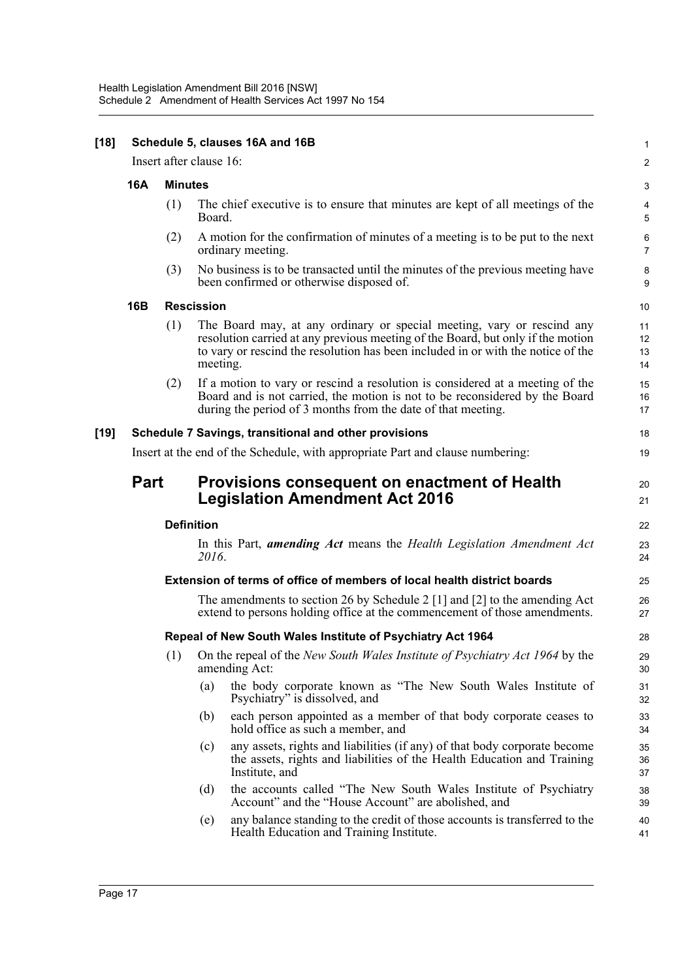| $[18]$ | Schedule 5, clauses 16A and 16B                                                |                |                                          |                                                                                                                                                                                                                                               |                      |  |
|--------|--------------------------------------------------------------------------------|----------------|------------------------------------------|-----------------------------------------------------------------------------------------------------------------------------------------------------------------------------------------------------------------------------------------------|----------------------|--|
|        | Insert after clause 16:                                                        |                |                                          |                                                                                                                                                                                                                                               |                      |  |
|        | 16A                                                                            | <b>Minutes</b> |                                          |                                                                                                                                                                                                                                               | $\mathsf 3$          |  |
|        |                                                                                | (1)            | Board.                                   | The chief executive is to ensure that minutes are kept of all meetings of the                                                                                                                                                                 | 4<br>$\overline{5}$  |  |
|        |                                                                                | (2)            | ordinary meeting.                        | A motion for the confirmation of minutes of a meeting is to be put to the next                                                                                                                                                                | 6<br>$\overline{7}$  |  |
|        |                                                                                | (3)            | been confirmed or otherwise disposed of. | No business is to be transacted until the minutes of the previous meeting have                                                                                                                                                                | $\bf 8$<br>9         |  |
|        | <b>16B</b>                                                                     |                | <b>Rescission</b>                        |                                                                                                                                                                                                                                               | 10                   |  |
|        |                                                                                | (1)            | meeting.                                 | The Board may, at any ordinary or special meeting, vary or rescind any<br>resolution carried at any previous meeting of the Board, but only if the motion<br>to vary or rescind the resolution has been included in or with the notice of the | 11<br>12<br>13<br>14 |  |
|        |                                                                                | (2)            |                                          | If a motion to vary or rescind a resolution is considered at a meeting of the<br>Board and is not carried, the motion is not to be reconsidered by the Board<br>during the period of 3 months from the date of that meeting.                  | 15<br>16<br>17       |  |
| $[19]$ | Schedule 7 Savings, transitional and other provisions                          |                |                                          |                                                                                                                                                                                                                                               | 18                   |  |
|        | Insert at the end of the Schedule, with appropriate Part and clause numbering: |                |                                          |                                                                                                                                                                                                                                               | 19                   |  |
|        | <b>Part</b>                                                                    |                | <b>Legislation Amendment Act 2016</b>    | Provisions consequent on enactment of Health                                                                                                                                                                                                  | 20<br>21             |  |
|        | <b>Definition</b>                                                              |                |                                          |                                                                                                                                                                                                                                               | 22                   |  |
|        |                                                                                |                | 2016.                                    | In this Part, <i>amending Act</i> means the <i>Health Legislation Amendment Act</i>                                                                                                                                                           | 23<br>24             |  |
|        |                                                                                |                |                                          | Extension of terms of office of members of local health district boards                                                                                                                                                                       | 25                   |  |
|        |                                                                                |                |                                          | The amendments to section 26 by Schedule 2 [1] and [2] to the amending Act<br>extend to persons holding office at the commencement of those amendments.                                                                                       | 26<br>27             |  |
|        | Repeal of New South Wales Institute of Psychiatry Act 1964                     |                |                                          |                                                                                                                                                                                                                                               | 28                   |  |
|        |                                                                                | (1)            | amending Act:                            | On the repeal of the New South Wales Institute of Psychiatry Act 1964 by the                                                                                                                                                                  | 29<br>30             |  |
|        |                                                                                |                | (a)<br>Psychiatry" is dissolved, and     | the body corporate known as "The New South Wales Institute of                                                                                                                                                                                 | 31<br>32             |  |
|        |                                                                                |                | (b)<br>hold office as such a member, and | each person appointed as a member of that body corporate ceases to                                                                                                                                                                            | 33<br>34             |  |
|        |                                                                                |                | (c)<br>Institute, and                    | any assets, rights and liabilities (if any) of that body corporate become<br>the assets, rights and liabilities of the Health Education and Training                                                                                          | 35<br>36<br>37       |  |
|        |                                                                                |                | (d)                                      | the accounts called "The New South Wales Institute of Psychiatry<br>Account" and the "House Account" are abolished, and                                                                                                                       | 38<br>39             |  |
|        |                                                                                |                | (e)                                      | any balance standing to the credit of those accounts is transferred to the<br>Health Education and Training Institute.                                                                                                                        | 40<br>41             |  |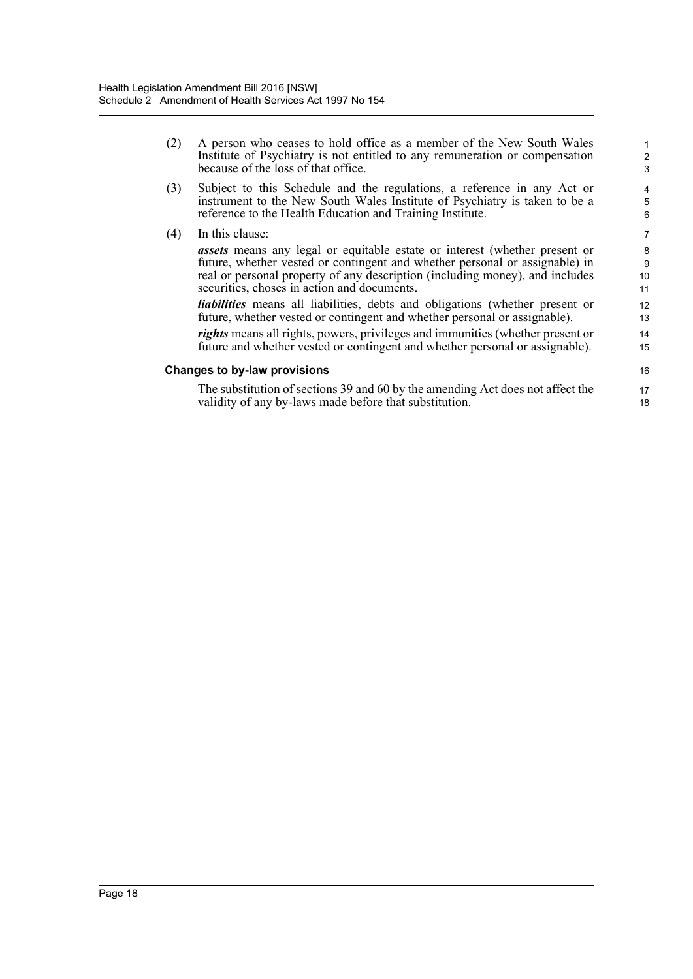| (2) | A person who ceases to hold office as a member of the New South Wales<br>Institute of Psychiatry is not entitled to any remuneration or compensation<br>because of the loss of that office.                                                                                                     | 1<br>$\overline{2}$<br>3 |
|-----|-------------------------------------------------------------------------------------------------------------------------------------------------------------------------------------------------------------------------------------------------------------------------------------------------|--------------------------|
| (3) | Subject to this Schedule and the regulations, a reference in any Act or<br>instrument to the New South Wales Institute of Psychiatry is taken to be a<br>reference to the Health Education and Training Institute.                                                                              | $\overline{4}$<br>5<br>6 |
| (4) | In this clause:                                                                                                                                                                                                                                                                                 | $\overline{7}$           |
|     | <b>assets</b> means any legal or equitable estate or interest (whether present or<br>future, whether vested or contingent and whether personal or assignable) in<br>real or personal property of any description (including money), and includes<br>securities, choses in action and documents. | 8<br>9<br>10<br>11       |
|     | <i>liabilities</i> means all liabilities, debts and obligations (whether present or<br>future, whether vested or contingent and whether personal or assignable).                                                                                                                                | 12<br>13                 |
|     | rights means all rights, powers, privileges and immunities (whether present or<br>future and whether vested or contingent and whether personal or assignable).                                                                                                                                  | 14<br>15                 |
|     | Changes to by-law provisions                                                                                                                                                                                                                                                                    | 16                       |
|     | The substitution of sections 39 and 60 by the amending Act does not affect the<br>validity of any by-laws made before that substitution.                                                                                                                                                        | 17<br>18                 |
|     |                                                                                                                                                                                                                                                                                                 |                          |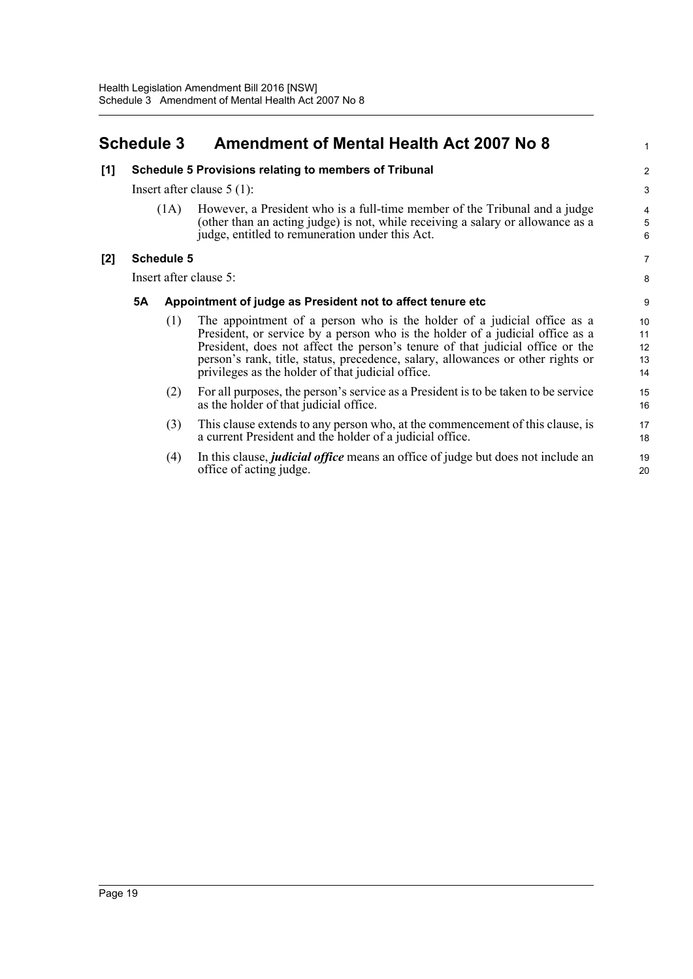## <span id="page-23-0"></span>**Schedule 3 Amendment of Mental Health Act 2007 No 8**

| [1]   | <b>Schedule 5 Provisions relating to members of Tribunal</b><br>Insert after clause $5(1)$ : |                                                            |                                                                                                                                                                                                                                                                                                                                                                                   |                            |  |
|-------|----------------------------------------------------------------------------------------------|------------------------------------------------------------|-----------------------------------------------------------------------------------------------------------------------------------------------------------------------------------------------------------------------------------------------------------------------------------------------------------------------------------------------------------------------------------|----------------------------|--|
|       |                                                                                              |                                                            |                                                                                                                                                                                                                                                                                                                                                                                   |                            |  |
|       |                                                                                              | (1A)                                                       | However, a President who is a full-time member of the Tribunal and a judge<br>(other than an acting judge) is not, while receiving a salary or allowance as a<br>judge, entitled to remuneration under this Act.                                                                                                                                                                  | 4<br>5<br>6                |  |
| $[2]$ |                                                                                              | <b>Schedule 5</b>                                          |                                                                                                                                                                                                                                                                                                                                                                                   | $\overline{7}$             |  |
|       | Insert after clause 5:                                                                       |                                                            |                                                                                                                                                                                                                                                                                                                                                                                   |                            |  |
|       | 5A                                                                                           | Appointment of judge as President not to affect tenure etc |                                                                                                                                                                                                                                                                                                                                                                                   |                            |  |
|       |                                                                                              | (1)                                                        | The appointment of a person who is the holder of a judicial office as a<br>President, or service by a person who is the holder of a judicial office as a<br>President, does not affect the person's tenure of that judicial office or the<br>person's rank, title, status, precedence, salary, allowances or other rights or<br>privileges as the holder of that judicial office. | 10<br>11<br>12<br>13<br>14 |  |
|       |                                                                                              | (2)                                                        | For all purposes, the person's service as a President is to be taken to be service<br>as the holder of that judicial office.                                                                                                                                                                                                                                                      | 15<br>16                   |  |
|       |                                                                                              | (3)                                                        | This clause extends to any person who, at the commencement of this clause, is<br>a current President and the holder of a judicial office.                                                                                                                                                                                                                                         | 17<br>18                   |  |
|       |                                                                                              | (4)                                                        | In this clause, <i>judicial office</i> means an office of judge but does not include an<br>office of acting judge.                                                                                                                                                                                                                                                                | 19<br>20                   |  |
|       |                                                                                              |                                                            |                                                                                                                                                                                                                                                                                                                                                                                   |                            |  |

1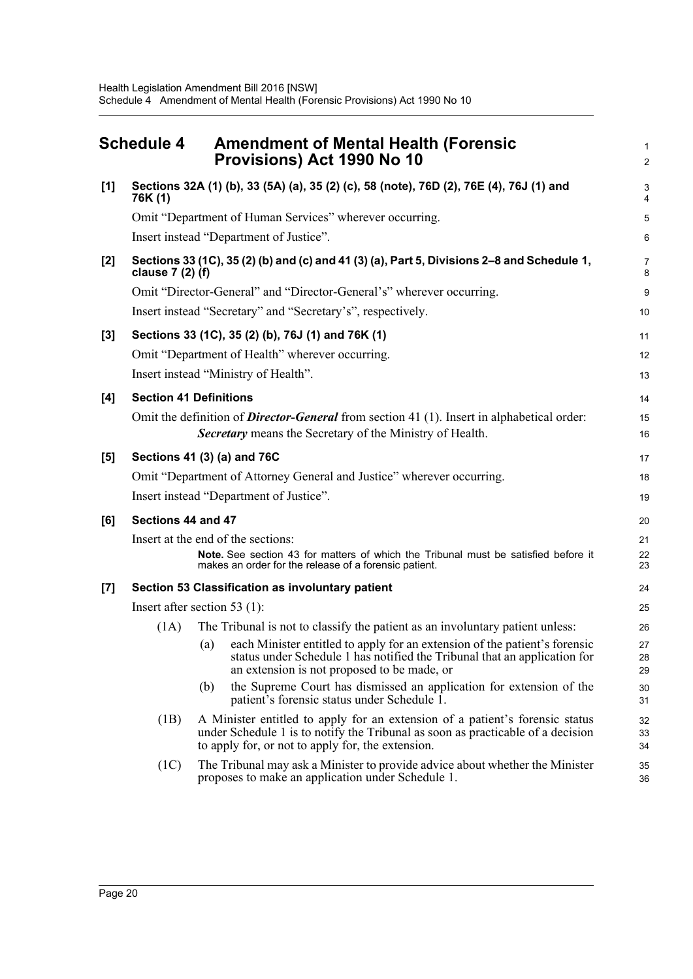<span id="page-24-0"></span>

|       | <b>Schedule 4</b>                                                                                              | <b>Amendment of Mental Health (Forensic</b><br>Provisions) Act 1990 No 10                                                                                                                                            | 1<br>$\overline{2}$ |  |  |  |  |
|-------|----------------------------------------------------------------------------------------------------------------|----------------------------------------------------------------------------------------------------------------------------------------------------------------------------------------------------------------------|---------------------|--|--|--|--|
| [1]   | Sections 32A (1) (b), 33 (5A) (a), 35 (2) (c), 58 (note), 76D (2), 76E (4), 76J (1) and<br>76K (1)             |                                                                                                                                                                                                                      |                     |  |  |  |  |
|       | Omit "Department of Human Services" wherever occurring.                                                        |                                                                                                                                                                                                                      |                     |  |  |  |  |
|       |                                                                                                                | Insert instead "Department of Justice".                                                                                                                                                                              | 6                   |  |  |  |  |
| $[2]$ | Sections 33 (1C), 35 (2) (b) and (c) and 41 (3) (a), Part 5, Divisions 2–8 and Schedule 1,<br>clause 7 (2) (f) |                                                                                                                                                                                                                      |                     |  |  |  |  |
|       |                                                                                                                | Omit "Director-General" and "Director-General's" wherever occurring.                                                                                                                                                 | 9                   |  |  |  |  |
|       |                                                                                                                | Insert instead "Secretary" and "Secretary's", respectively.                                                                                                                                                          | 10                  |  |  |  |  |
| $[3]$ |                                                                                                                | Sections 33 (1C), 35 (2) (b), 76J (1) and 76K (1)                                                                                                                                                                    | 11                  |  |  |  |  |
|       |                                                                                                                | Omit "Department of Health" wherever occurring.                                                                                                                                                                      | 12                  |  |  |  |  |
|       |                                                                                                                | Insert instead "Ministry of Health".                                                                                                                                                                                 | 13                  |  |  |  |  |
| [4]   |                                                                                                                | <b>Section 41 Definitions</b>                                                                                                                                                                                        | 14                  |  |  |  |  |
|       |                                                                                                                | Omit the definition of <b>Director-General</b> from section 41 (1). Insert in alphabetical order:<br>Secretary means the Secretary of the Ministry of Health.                                                        | 15<br>16            |  |  |  |  |
| [5]   |                                                                                                                | Sections 41 (3) (a) and 76C                                                                                                                                                                                          | 17                  |  |  |  |  |
|       | Omit "Department of Attorney General and Justice" wherever occurring.                                          |                                                                                                                                                                                                                      |                     |  |  |  |  |
|       | Insert instead "Department of Justice".                                                                        |                                                                                                                                                                                                                      |                     |  |  |  |  |
| [6]   | Sections 44 and 47                                                                                             |                                                                                                                                                                                                                      |                     |  |  |  |  |
|       | Insert at the end of the sections:                                                                             |                                                                                                                                                                                                                      |                     |  |  |  |  |
|       |                                                                                                                | Note. See section 43 for matters of which the Tribunal must be satisfied before it<br>makes an order for the release of a forensic patient.                                                                          | 22<br>23            |  |  |  |  |
| $[7]$ |                                                                                                                | Section 53 Classification as involuntary patient                                                                                                                                                                     | 24                  |  |  |  |  |
|       | Insert after section 53 $(1)$ :                                                                                |                                                                                                                                                                                                                      |                     |  |  |  |  |
|       | (1A)                                                                                                           | The Tribunal is not to classify the patient as an involuntary patient unless:                                                                                                                                        | 26                  |  |  |  |  |
|       |                                                                                                                | each Minister entitled to apply for an extension of the patient's forensic<br>status under Schedule 1 has notified the Tribunal that an application for<br>(a)<br>an extension is not proposed to be made, or        | 27<br>28<br>29      |  |  |  |  |
|       |                                                                                                                | the Supreme Court has dismissed an application for extension of the<br>(b)<br>patient's forensic status under Schedule 1.                                                                                            | 30<br>31            |  |  |  |  |
|       | (1B)                                                                                                           | A Minister entitled to apply for an extension of a patient's forensic status<br>under Schedule 1 is to notify the Tribunal as soon as practicable of a decision<br>to apply for, or not to apply for, the extension. | 32<br>33<br>34      |  |  |  |  |
|       | (1C)                                                                                                           | The Tribunal may ask a Minister to provide advice about whether the Minister<br>proposes to make an application under Schedule 1.                                                                                    | 35<br>36            |  |  |  |  |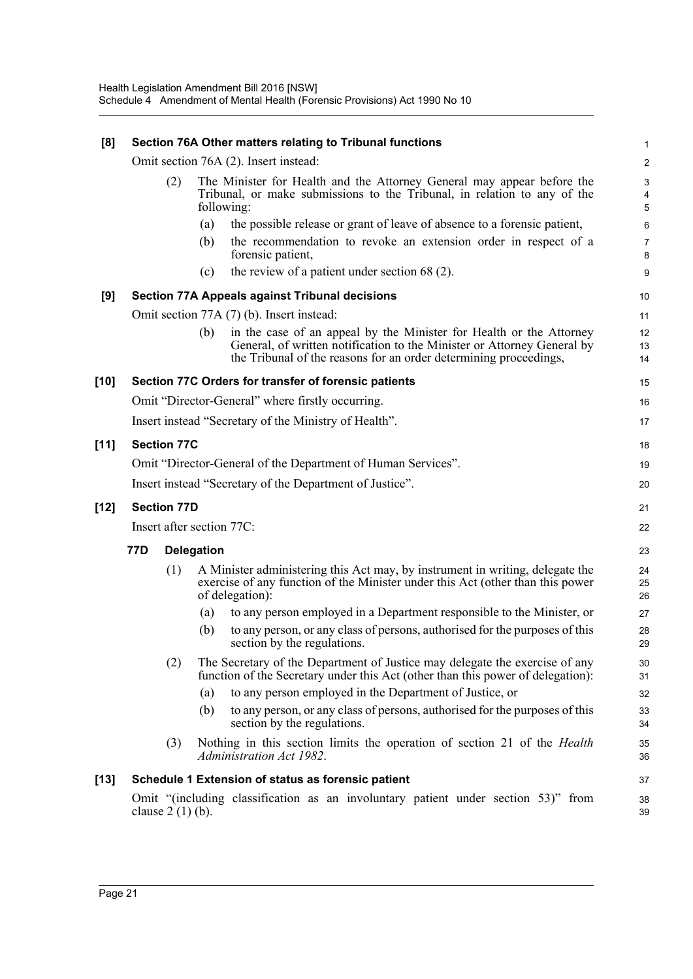| [8]    | Section 76A Other matters relating to Tribunal functions     |                                           |     |                                                                                                                                                                                                                     |                                     |  |
|--------|--------------------------------------------------------------|-------------------------------------------|-----|---------------------------------------------------------------------------------------------------------------------------------------------------------------------------------------------------------------------|-------------------------------------|--|
|        | Omit section 76A (2). Insert instead:                        |                                           |     |                                                                                                                                                                                                                     |                                     |  |
|        |                                                              | (2)                                       |     | The Minister for Health and the Attorney General may appear before the<br>Tribunal, or make submissions to the Tribunal, in relation to any of the<br>following:                                                    | $\ensuremath{\mathsf{3}}$<br>4<br>5 |  |
|        |                                                              |                                           | (a) | the possible release or grant of leave of absence to a forensic patient,                                                                                                                                            | 6                                   |  |
|        |                                                              |                                           | (b) | the recommendation to revoke an extension order in respect of a<br>forensic patient,                                                                                                                                | $\overline{7}$<br>8                 |  |
|        |                                                              |                                           | (c) | the review of a patient under section $68(2)$ .                                                                                                                                                                     | 9                                   |  |
| [9]    | <b>Section 77A Appeals against Tribunal decisions</b>        |                                           |     |                                                                                                                                                                                                                     |                                     |  |
|        |                                                              | Omit section 77A (7) (b). Insert instead: |     |                                                                                                                                                                                                                     |                                     |  |
|        |                                                              |                                           | (b) | in the case of an appeal by the Minister for Health or the Attorney<br>General, of written notification to the Minister or Attorney General by<br>the Tribunal of the reasons for an order determining proceedings, | 12<br>13<br>14                      |  |
| [10]   |                                                              |                                           |     | Section 77C Orders for transfer of forensic patients                                                                                                                                                                | 15                                  |  |
|        |                                                              |                                           |     | Omit "Director-General" where firstly occurring.                                                                                                                                                                    | 16                                  |  |
|        |                                                              |                                           |     | Insert instead "Secretary of the Ministry of Health".                                                                                                                                                               | 17                                  |  |
| $[11]$ |                                                              | <b>Section 77C</b>                        |     |                                                                                                                                                                                                                     | 18                                  |  |
|        | Omit "Director-General of the Department of Human Services". |                                           |     |                                                                                                                                                                                                                     |                                     |  |
|        |                                                              |                                           |     | Insert instead "Secretary of the Department of Justice".                                                                                                                                                            | 20                                  |  |
| [12]   | <b>Section 77D</b>                                           |                                           |     |                                                                                                                                                                                                                     | 21                                  |  |
|        | Insert after section 77C:                                    |                                           |     |                                                                                                                                                                                                                     | 22                                  |  |
|        | 77D<br><b>Delegation</b>                                     |                                           |     |                                                                                                                                                                                                                     | 23                                  |  |
|        |                                                              | (1)                                       |     | A Minister administering this Act may, by instrument in writing, delegate the<br>exercise of any function of the Minister under this Act (other than this power<br>of delegation):                                  | 24<br>25<br>26                      |  |
|        |                                                              |                                           | (a) | to any person employed in a Department responsible to the Minister, or                                                                                                                                              | 27                                  |  |
|        |                                                              |                                           | (b) | to any person, or any class of persons, authorised for the purposes of this<br>section by the regulations.                                                                                                          | 28<br>29                            |  |
|        |                                                              | (2)                                       |     | The Secretary of the Department of Justice may delegate the exercise of any<br>function of the Secretary under this Act (other than this power of delegation):                                                      | 30<br>31                            |  |
|        |                                                              |                                           | (a) | to any person employed in the Department of Justice, or                                                                                                                                                             | 32                                  |  |
|        |                                                              |                                           | (b) | to any person, or any class of persons, authorised for the purposes of this<br>section by the regulations.                                                                                                          | 33<br>34                            |  |
|        |                                                              | (3)                                       |     | Nothing in this section limits the operation of section 21 of the <i>Health</i><br>Administration Act 1982.                                                                                                         | 35<br>36                            |  |
| [13]   |                                                              |                                           |     | Schedule 1 Extension of status as forensic patient                                                                                                                                                                  | 37                                  |  |
|        |                                                              | clause $2(1)(b)$ .                        |     | Omit "(including classification as an involuntary patient under section 53)" from                                                                                                                                   | 38<br>39                            |  |
|        |                                                              |                                           |     |                                                                                                                                                                                                                     |                                     |  |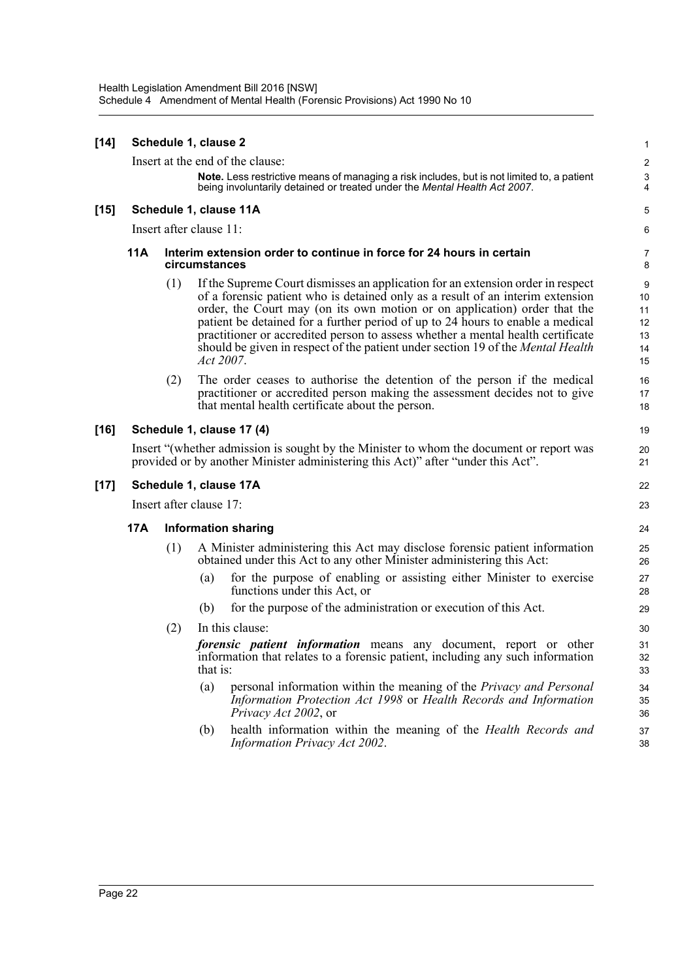| $[14]$ | Schedule 1, clause 2<br>Insert at the end of the clause:                                                                                                                    |     |                                                                                       |                                                                                                                                                                                                                                                                                                                                                                                                                                                                                                                            |                                                  |  |
|--------|-----------------------------------------------------------------------------------------------------------------------------------------------------------------------------|-----|---------------------------------------------------------------------------------------|----------------------------------------------------------------------------------------------------------------------------------------------------------------------------------------------------------------------------------------------------------------------------------------------------------------------------------------------------------------------------------------------------------------------------------------------------------------------------------------------------------------------------|--------------------------------------------------|--|
|        |                                                                                                                                                                             |     |                                                                                       | Note. Less restrictive means of managing a risk includes, but is not limited to, a patient<br>being involuntarily detained or treated under the Mental Health Act 2007.                                                                                                                                                                                                                                                                                                                                                    | $\overline{c}$<br>$\ensuremath{\mathsf{3}}$<br>4 |  |
| $[15]$ | Schedule 1, clause 11A                                                                                                                                                      |     |                                                                                       |                                                                                                                                                                                                                                                                                                                                                                                                                                                                                                                            |                                                  |  |
|        | Insert after clause 11:                                                                                                                                                     |     |                                                                                       |                                                                                                                                                                                                                                                                                                                                                                                                                                                                                                                            |                                                  |  |
|        | 11A                                                                                                                                                                         |     | Interim extension order to continue in force for 24 hours in certain<br>circumstances |                                                                                                                                                                                                                                                                                                                                                                                                                                                                                                                            |                                                  |  |
|        |                                                                                                                                                                             | (1) |                                                                                       | If the Supreme Court dismisses an application for an extension order in respect<br>of a forensic patient who is detained only as a result of an interim extension<br>order, the Court may (on its own motion or on application) order that the<br>patient be detained for a further period of up to 24 hours to enable a medical<br>practitioner or accredited person to assess whether a mental health certificate<br>should be given in respect of the patient under section 19 of the <i>Mental Health</i><br>Act 2007. | 9<br>10<br>11<br>12<br>13<br>14<br>15            |  |
|        |                                                                                                                                                                             | (2) |                                                                                       | The order ceases to authorise the detention of the person if the medical<br>practitioner or accredited person making the assessment decides not to give<br>that mental health certificate about the person.                                                                                                                                                                                                                                                                                                                | 16<br>17<br>18                                   |  |
| $[16]$ | Schedule 1, clause 17 (4)                                                                                                                                                   |     |                                                                                       |                                                                                                                                                                                                                                                                                                                                                                                                                                                                                                                            |                                                  |  |
|        | Insert "(whether admission is sought by the Minister to whom the document or report was<br>provided or by another Minister administering this Act)" after "under this Act". |     |                                                                                       |                                                                                                                                                                                                                                                                                                                                                                                                                                                                                                                            |                                                  |  |
| $[17]$ | Schedule 1, clause 17A                                                                                                                                                      |     |                                                                                       |                                                                                                                                                                                                                                                                                                                                                                                                                                                                                                                            | 22                                               |  |
|        | Insert after clause 17:                                                                                                                                                     |     |                                                                                       |                                                                                                                                                                                                                                                                                                                                                                                                                                                                                                                            |                                                  |  |
|        | 17A                                                                                                                                                                         |     |                                                                                       | <b>Information sharing</b>                                                                                                                                                                                                                                                                                                                                                                                                                                                                                                 | 24                                               |  |
|        |                                                                                                                                                                             | (1) |                                                                                       | A Minister administering this Act may disclose forensic patient information<br>obtained under this Act to any other Minister administering this Act:                                                                                                                                                                                                                                                                                                                                                                       | 25<br>26                                         |  |
|        |                                                                                                                                                                             |     | (a)                                                                                   | for the purpose of enabling or assisting either Minister to exercise<br>functions under this Act, or                                                                                                                                                                                                                                                                                                                                                                                                                       | 27<br>28                                         |  |
|        |                                                                                                                                                                             |     | (b)                                                                                   | for the purpose of the administration or execution of this Act.                                                                                                                                                                                                                                                                                                                                                                                                                                                            | 29                                               |  |
|        |                                                                                                                                                                             | (2) |                                                                                       | In this clause:                                                                                                                                                                                                                                                                                                                                                                                                                                                                                                            | 30                                               |  |
|        |                                                                                                                                                                             |     | that is:                                                                              | forensic patient information means any document, report or other<br>information that relates to a forensic patient, including any such information                                                                                                                                                                                                                                                                                                                                                                         | 31<br>32<br>33                                   |  |
|        |                                                                                                                                                                             |     | (a)                                                                                   | personal information within the meaning of the Privacy and Personal<br>Information Protection Act 1998 or Health Records and Information<br>Privacy Act 2002, or                                                                                                                                                                                                                                                                                                                                                           | 34<br>35<br>36                                   |  |
|        |                                                                                                                                                                             |     | (b)                                                                                   | health information within the meaning of the Health Records and<br><b>Information Privacy Act 2002.</b>                                                                                                                                                                                                                                                                                                                                                                                                                    | 37<br>38                                         |  |